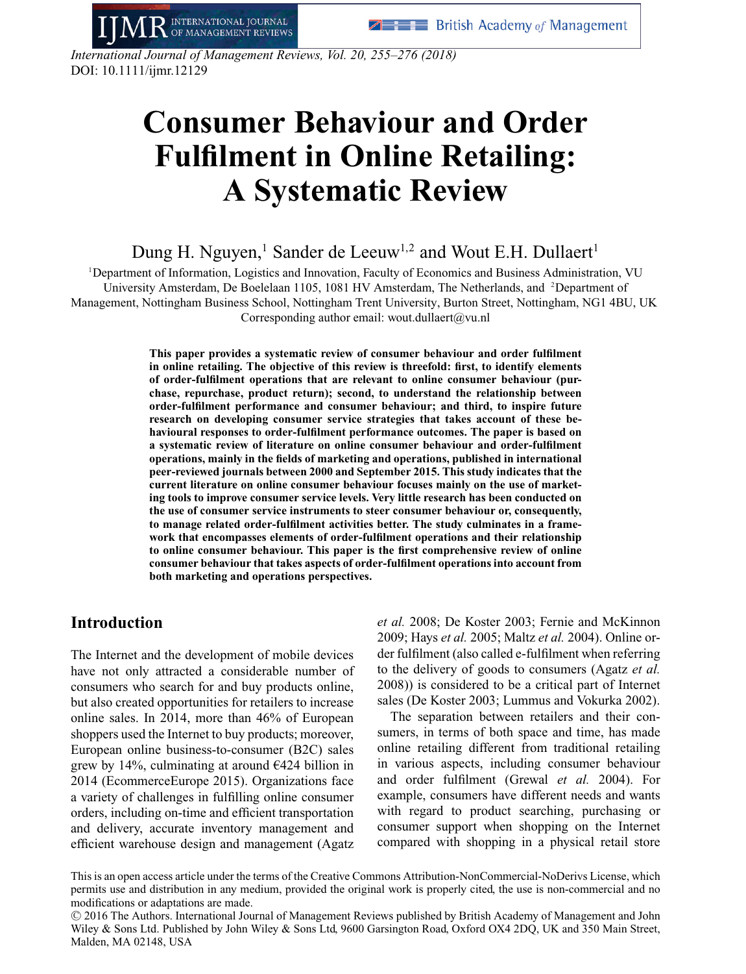*International Journal of Management Reviews, Vol. 20, 255–276 (2018)* DOI: 10.1111/ijmr.12129

**INTERNATIONAL JOURNAL** 

**MANAGEMENT REVIEWS** 

# **Consumer Behaviour and Order Fulfilment in Online Retailing: A Systematic Review**

Dung H. Nguyen,<sup>1</sup> Sander de Leeuw<sup>1,2</sup> and Wout E.H. Dullaert<sup>1</sup>

1 Department of Information, Logistics and Innovation, Faculty of Economics and Business Administration, VU University Amsterdam, De Boelelaan 1105, 1081 HV Amsterdam, The Netherlands, and <sup>2</sup>Department of Management, Nottingham Business School, Nottingham Trent University, Burton Street, Nottingham, NG1 4BU, UK Corresponding author email: wout.dullaert@vu.nl

> **This paper provides a systematic review of consumer behaviour and order fulfilment in online retailing. The objective of this review is threefold: first, to identify elements of order-fulfilment operations that are relevant to online consumer behaviour (purchase, repurchase, product return); second, to understand the relationship between order-fulfilment performance and consumer behaviour; and third, to inspire future research on developing consumer service strategies that takes account of these behavioural responses to order-fulfilment performance outcomes. The paper is based on a systematic review of literature on online consumer behaviour and order-fulfilment operations, mainly in the fields of marketing and operations, published in international peer-reviewed journals between 2000 and September 2015. This study indicates that the current literature on online consumer behaviour focuses mainly on the use of marketing tools to improve consumer service levels. Very little research has been conducted on the use of consumer service instruments to steer consumer behaviour or, consequently, to manage related order-fulfilment activities better. The study culminates in a framework that encompasses elements of order-fulfilment operations and their relationship to online consumer behaviour. This paper is the first comprehensive review of online consumer behaviour that takes aspects of order-fulfilment operations into account from both marketing and operations perspectives.**

## **Introduction**

The Internet and the development of mobile devices have not only attracted a considerable number of consumers who search for and buy products online, but also created opportunities for retailers to increase online sales. In 2014, more than 46% of European shoppers used the Internet to buy products; moreover, European online business-to-consumer (B2C) sales grew by 14%, culminating at around  $\epsilon$ 424 billion in 2014 (EcommerceEurope 2015). Organizations face a variety of challenges in fulfilling online consumer orders, including on-time and efficient transportation and delivery, accurate inventory management and efficient warehouse design and management (Agatz *et al.* 2008; De Koster 2003; Fernie and McKinnon 2009; Hays *et al.* 2005; Maltz *et al.* 2004). Online order fulfilment (also called e-fulfilment when referring to the delivery of goods to consumers (Agatz *et al.* 2008)) is considered to be a critical part of Internet sales (De Koster 2003; Lummus and Vokurka 2002).

The separation between retailers and their consumers, in terms of both space and time, has made online retailing different from traditional retailing in various aspects, including consumer behaviour and order fulfilment (Grewal *et al.* 2004). For example, consumers have different needs and wants with regard to product searching, purchasing or consumer support when shopping on the Internet compared with shopping in a physical retail store

This is an open access article under the terms of the [Creative Commons Attribution-NonCommercial-NoDerivs](http://creativecommons.org/licenses/by-nc-nd/4.0/) License, which permits use and distribution in any medium, provided the original work is properly cited, the use is non-commercial and no modifications or adaptations are made.

-C 2016 The Authors. International Journal of Management Reviews published by British Academy of Management and John Wiley & Sons Ltd. Published by John Wiley & Sons Ltd, 9600 Garsington Road, Oxford OX4 2DQ, UK and 350 Main Street, Malden, MA 02148, USA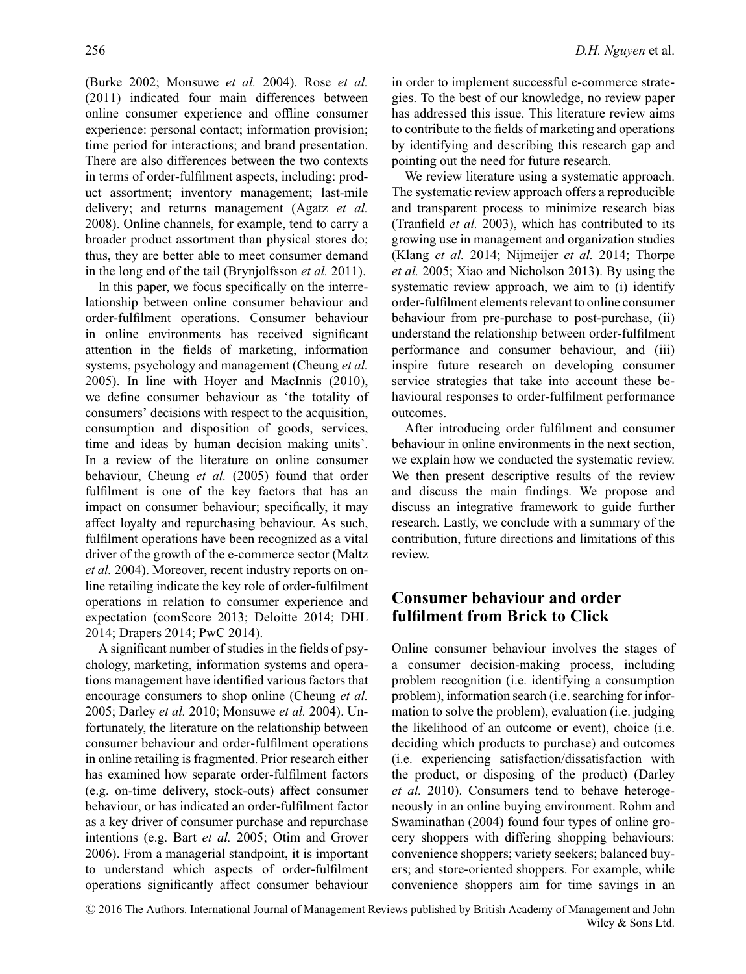(Burke 2002; Monsuwe *et al.* 2004). Rose *et al.* (2011) indicated four main differences between online consumer experience and offline consumer experience: personal contact; information provision; time period for interactions; and brand presentation. There are also differences between the two contexts in terms of order-fulfilment aspects, including: product assortment; inventory management; last-mile delivery; and returns management (Agatz *et al.* 2008). Online channels, for example, tend to carry a broader product assortment than physical stores do; thus, they are better able to meet consumer demand in the long end of the tail (Brynjolfsson *et al.* 2011).

In this paper, we focus specifically on the interrelationship between online consumer behaviour and order-fulfilment operations. Consumer behaviour in online environments has received significant attention in the fields of marketing, information systems, psychology and management (Cheung *et al.* 2005). In line with Hoyer and MacInnis (2010), we define consumer behaviour as 'the totality of consumers' decisions with respect to the acquisition, consumption and disposition of goods, services, time and ideas by human decision making units'. In a review of the literature on online consumer behaviour, Cheung *et al.* (2005) found that order fulfilment is one of the key factors that has an impact on consumer behaviour; specifically, it may affect loyalty and repurchasing behaviour. As such, fulfilment operations have been recognized as a vital driver of the growth of the e-commerce sector (Maltz *et al.* 2004). Moreover, recent industry reports on online retailing indicate the key role of order-fulfilment operations in relation to consumer experience and expectation (comScore 2013; Deloitte 2014; DHL 2014; Drapers 2014; PwC 2014).

A significant number of studies in the fields of psychology, marketing, information systems and operations management have identified various factors that encourage consumers to shop online (Cheung *et al.* 2005; Darley *et al.* 2010; Monsuwe *et al.* 2004). Unfortunately, the literature on the relationship between consumer behaviour and order-fulfilment operations in online retailing is fragmented. Prior research either has examined how separate order-fulfilment factors (e.g. on-time delivery, stock-outs) affect consumer behaviour, or has indicated an order-fulfilment factor as a key driver of consumer purchase and repurchase intentions (e.g. Bart *et al.* 2005; Otim and Grover 2006). From a managerial standpoint, it is important to understand which aspects of order-fulfilment operations significantly affect consumer behaviour in order to implement successful e-commerce strategies. To the best of our knowledge, no review paper has addressed this issue. This literature review aims to contribute to the fields of marketing and operations by identifying and describing this research gap and pointing out the need for future research.

We review literature using a systematic approach. The systematic review approach offers a reproducible and transparent process to minimize research bias (Tranfield *et al.* 2003), which has contributed to its growing use in management and organization studies (Klang *et al.* 2014; Nijmeijer *et al.* 2014; Thorpe *et al.* 2005; Xiao and Nicholson 2013). By using the systematic review approach, we aim to (i) identify order-fulfilment elements relevant to online consumer behaviour from pre-purchase to post-purchase, (ii) understand the relationship between order-fulfilment performance and consumer behaviour, and (iii) inspire future research on developing consumer service strategies that take into account these behavioural responses to order-fulfilment performance outcomes.

After introducing order fulfilment and consumer behaviour in online environments in the next section, we explain how we conducted the systematic review. We then present descriptive results of the review and discuss the main findings. We propose and discuss an integrative framework to guide further research. Lastly, we conclude with a summary of the contribution, future directions and limitations of this review.

# **Consumer behaviour and order fulfilment from Brick to Click**

Online consumer behaviour involves the stages of a consumer decision-making process, including problem recognition (i.e. identifying a consumption problem), information search (i.e. searching for information to solve the problem), evaluation (i.e. judging the likelihood of an outcome or event), choice (i.e. deciding which products to purchase) and outcomes (i.e. experiencing satisfaction/dissatisfaction with the product, or disposing of the product) (Darley *et al.* 2010). Consumers tend to behave heterogeneously in an online buying environment. Rohm and Swaminathan (2004) found four types of online grocery shoppers with differing shopping behaviours: convenience shoppers; variety seekers; balanced buyers; and store-oriented shoppers. For example, while convenience shoppers aim for time savings in an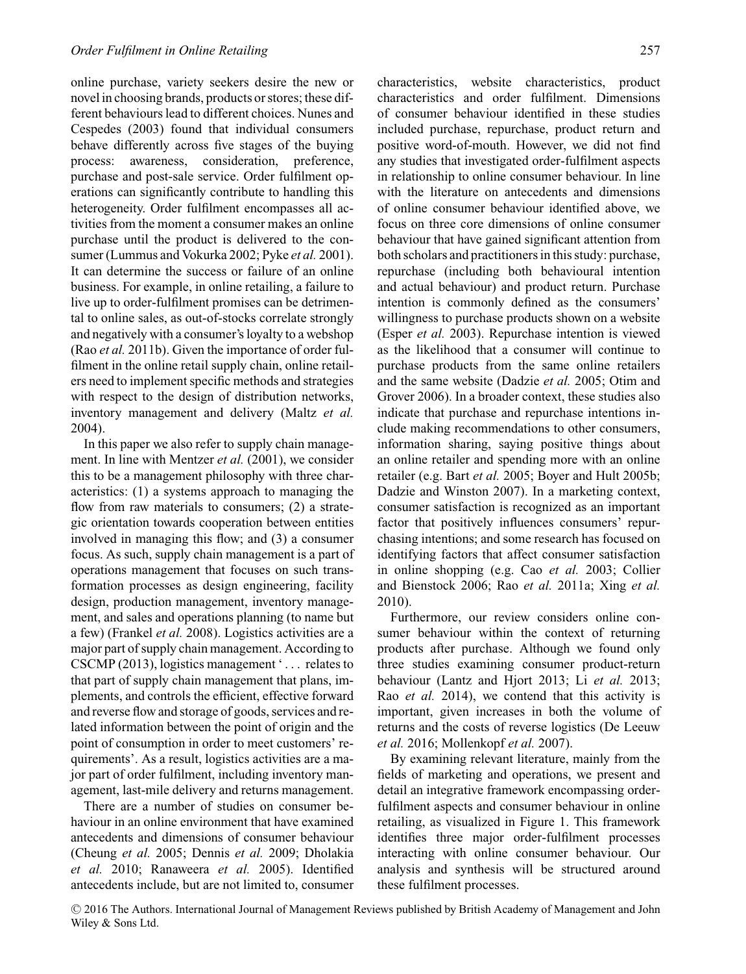online purchase, variety seekers desire the new or novel in choosing brands, products or stores; these different behaviours lead to different choices. Nunes and Cespedes (2003) found that individual consumers behave differently across five stages of the buying process: awareness, consideration, preference, purchase and post-sale service. Order fulfilment operations can significantly contribute to handling this heterogeneity. Order fulfilment encompasses all activities from the moment a consumer makes an online purchase until the product is delivered to the consumer (Lummus and Vokurka 2002; Pyke *et al.* 2001). It can determine the success or failure of an online business. For example, in online retailing, a failure to live up to order-fulfilment promises can be detrimental to online sales, as out-of-stocks correlate strongly and negatively with a consumer's loyalty to a webshop (Rao *et al.* 2011b). Given the importance of order fulfilment in the online retail supply chain, online retailers need to implement specific methods and strategies with respect to the design of distribution networks, inventory management and delivery (Maltz *et al.* 2004).

In this paper we also refer to supply chain management. In line with Mentzer *et al.* (2001), we consider this to be a management philosophy with three characteristics: (1) a systems approach to managing the flow from raw materials to consumers; (2) a strategic orientation towards cooperation between entities involved in managing this flow; and (3) a consumer focus. As such, supply chain management is a part of operations management that focuses on such transformation processes as design engineering, facility design, production management, inventory management, and sales and operations planning (to name but a few) (Frankel *et al.* 2008). Logistics activities are a major part of supply chain management. According to CSCMP (2013), logistics management ' . . . relates to that part of supply chain management that plans, implements, and controls the efficient, effective forward and reverse flow and storage of goods, services and related information between the point of origin and the point of consumption in order to meet customers' requirements'. As a result, logistics activities are a major part of order fulfilment, including inventory management, last-mile delivery and returns management.

There are a number of studies on consumer behaviour in an online environment that have examined antecedents and dimensions of consumer behaviour (Cheung *et al.* 2005; Dennis *et al.* 2009; Dholakia *et al.* 2010; Ranaweera *et al.* 2005). Identified antecedents include, but are not limited to, consumer characteristics, website characteristics, product characteristics and order fulfilment. Dimensions of consumer behaviour identified in these studies included purchase, repurchase, product return and positive word-of-mouth. However, we did not find any studies that investigated order-fulfilment aspects in relationship to online consumer behaviour. In line with the literature on antecedents and dimensions of online consumer behaviour identified above, we focus on three core dimensions of online consumer behaviour that have gained significant attention from both scholars and practitioners in this study: purchase, repurchase (including both behavioural intention and actual behaviour) and product return. Purchase intention is commonly defined as the consumers' willingness to purchase products shown on a website (Esper *et al.* 2003). Repurchase intention is viewed as the likelihood that a consumer will continue to purchase products from the same online retailers and the same website (Dadzie *et al.* 2005; Otim and Grover 2006). In a broader context, these studies also indicate that purchase and repurchase intentions include making recommendations to other consumers, information sharing, saying positive things about an online retailer and spending more with an online retailer (e.g. Bart *et al.* 2005; Boyer and Hult 2005b; Dadzie and Winston 2007). In a marketing context, consumer satisfaction is recognized as an important factor that positively influences consumers' repurchasing intentions; and some research has focused on identifying factors that affect consumer satisfaction in online shopping (e.g. Cao *et al.* 2003; Collier and Bienstock 2006; Rao *et al.* 2011a; Xing *et al.* 2010).

Furthermore, our review considers online consumer behaviour within the context of returning products after purchase. Although we found only three studies examining consumer product-return behaviour (Lantz and Hjort 2013; Li *et al.* 2013; Rao *et al.* 2014), we contend that this activity is important, given increases in both the volume of returns and the costs of reverse logistics (De Leeuw *et al.* 2016; Mollenkopf *et al.* 2007).

By examining relevant literature, mainly from the fields of marketing and operations, we present and detail an integrative framework encompassing orderfulfilment aspects and consumer behaviour in online retailing, as visualized in Figure 1. This framework identifies three major order-fulfilment processes interacting with online consumer behaviour. Our analysis and synthesis will be structured around these fulfilment processes.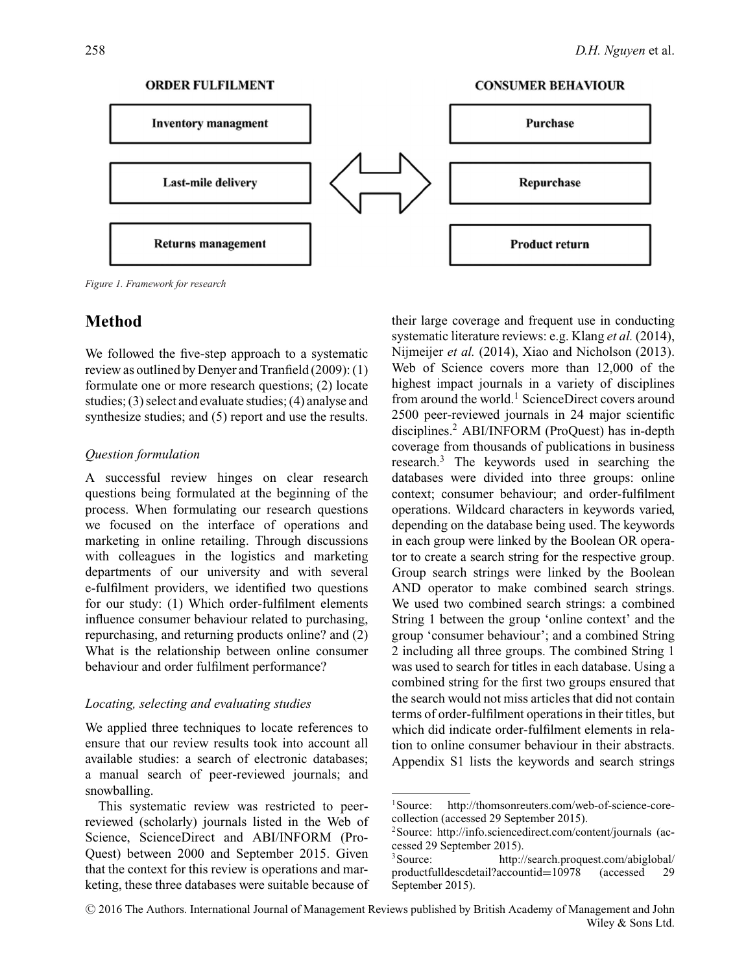

*Figure 1. Framework for research*

## **Method**

We followed the five-step approach to a systematic review as outlined by Denyer and Tranfield (2009): (1) formulate one or more research questions; (2) locate studies; (3) select and evaluate studies; (4) analyse and synthesize studies; and  $(5)$  report and use the results.

## *Question formulation*

A successful review hinges on clear research questions being formulated at the beginning of the process. When formulating our research questions we focused on the interface of operations and marketing in online retailing. Through discussions with colleagues in the logistics and marketing departments of our university and with several e-fulfilment providers, we identified two questions for our study: (1) Which order-fulfilment elements influence consumer behaviour related to purchasing, repurchasing, and returning products online? and (2) What is the relationship between online consumer behaviour and order fulfilment performance?

## *Locating, selecting and evaluating studies*

We applied three techniques to locate references to ensure that our review results took into account all available studies: a search of electronic databases; a manual search of peer-reviewed journals; and snowballing.

their large coverage and frequent use in conducting systematic literature reviews: e.g. Klang *et al.* (2014), Nijmeijer *et al.* (2014), Xiao and Nicholson (2013). Web of Science covers more than 12,000 of the highest impact journals in a variety of disciplines from around the world.<sup>1</sup> ScienceDirect covers around 2500 peer-reviewed journals in 24 major scientific disciplines.2 ABI/INFORM (ProQuest) has in-depth coverage from thousands of publications in business research.<sup>3</sup> The keywords used in searching the databases were divided into three groups: online context; consumer behaviour; and order-fulfilment operations. Wildcard characters in keywords varied, depending on the database being used. The keywords in each group were linked by the Boolean OR operator to create a search string for the respective group. Group search strings were linked by the Boolean AND operator to make combined search strings. We used two combined search strings: a combined String 1 between the group 'online context' and the group 'consumer behaviour'; and a combined String 2 including all three groups. The combined String 1 was used to search for titles in each database. Using a combined string for the first two groups ensured that the search would not miss articles that did not contain terms of order-fulfilment operations in their titles, but which did indicate order-fulfilment elements in relation to online consumer behaviour in their abstracts. Appendix S1 lists the keywords and search strings

This systematic review was restricted to peerreviewed (scholarly) journals listed in the Web of Science, ScienceDirect and ABI/INFORM (Pro-Quest) between 2000 and September 2015. Given that the context for this review is operations and marketing, these three databases were suitable because of

<sup>1</sup>Source: [http://thomsonreuters.com/web-of-science-core](http://thomsonreuters.com/web-of-science-core-collection)[collection](http://thomsonreuters.com/web-of-science-core-collection) (accessed 29 September 2015).

<sup>2</sup>Source:<http://info.sciencedirect.com/content/journals> (accessed 29 September 2015).

<sup>3</sup>Source: [http://search.proquest.com/abiglobal/](http://search.proquest.com/abiglobal/productfulldescdetail?accountid=10978) [productfulldescdetail?accountid](http://search.proquest.com/abiglobal/productfulldescdetail?accountid=10978)=10978 (accessed 29 September 2015).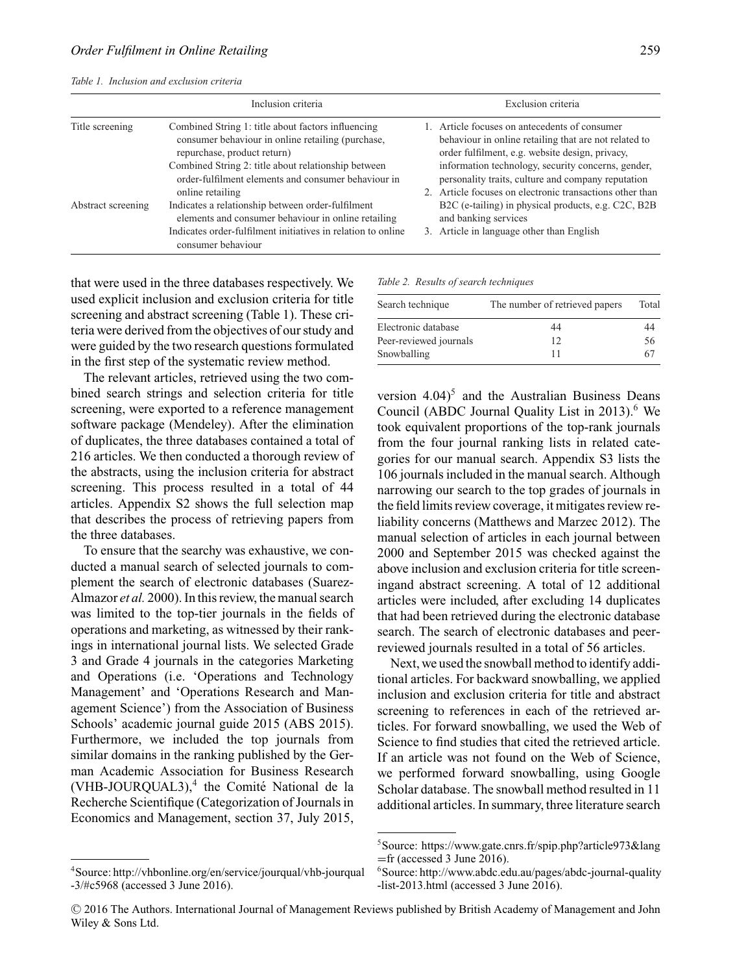| Table 1. Inclusion and exclusion criteria |  |  |  |
|-------------------------------------------|--|--|--|
|-------------------------------------------|--|--|--|

|                    | Inclusion criteria                                                                                                                                                                                                                                   | Exclusion criteria                                                                                                                                                                                                                                                    |
|--------------------|------------------------------------------------------------------------------------------------------------------------------------------------------------------------------------------------------------------------------------------------------|-----------------------------------------------------------------------------------------------------------------------------------------------------------------------------------------------------------------------------------------------------------------------|
| Title screening    | Combined String 1: title about factors influencing<br>consumer behaviour in online retailing (purchase,<br>repurchase, product return)<br>Combined String 2: title about relationship between<br>order-fulfilment elements and consumer behaviour in | 1. Article focuses on antecedents of consumer<br>behaviour in online retailing that are not related to<br>order fulfilment, e.g. website design, privacy,<br>information technology, security concerns, gender,<br>personality traits, culture and company reputation |
| Abstract screening | online retailing<br>Indicates a relationship between order-fulfilment<br>elements and consumer behaviour in online retailing<br>Indicates order-fulfilment initiatives in relation to online<br>consumer behaviour                                   | 2. Article focuses on electronic transactions other than<br>B2C (e-tailing) in physical products, e.g. C2C, B2B<br>and banking services<br>3. Article in language other than English                                                                                  |

that were used in the three databases respectively. We used explicit inclusion and exclusion criteria for title screening and abstract screening (Table 1). These criteria were derived from the objectives of our study and were guided by the two research questions formulated in the first step of the systematic review method.

The relevant articles, retrieved using the two combined search strings and selection criteria for title screening, were exported to a reference management software package (Mendeley). After the elimination of duplicates, the three databases contained a total of 216 articles. We then conducted a thorough review of the abstracts, using the inclusion criteria for abstract screening. This process resulted in a total of 44 articles. Appendix S2 shows the full selection map that describes the process of retrieving papers from the three databases.

To ensure that the searchy was exhaustive, we conducted a manual search of selected journals to complement the search of electronic databases (Suarez-Almazor *et al.* 2000). In this review, the manual search was limited to the top-tier journals in the fields of operations and marketing, as witnessed by their rankings in international journal lists. We selected Grade 3 and Grade 4 journals in the categories Marketing and Operations (i.e. 'Operations and Technology Management' and 'Operations Research and Management Science') from the Association of Business Schools' academic journal guide 2015 (ABS 2015). Furthermore, we included the top journals from similar domains in the ranking published by the German Academic Association for Business Research (VHB-JOURQUAL3), $4$  the Comité National de la Recherche Scientifique (Categorization of Journals in Economics and Management, section 37, July 2015,

*Table 2. Results of search techniques*

| Search technique       | The number of retrieved papers | Total |  |
|------------------------|--------------------------------|-------|--|
| Electronic database    | 44                             | 44    |  |
| Peer-reviewed journals | 12                             | 56    |  |
| Snowballing            |                                | 67    |  |

version  $4.04$ <sup>5</sup> and the Australian Business Deans Council (ABDC Journal Quality List in 2013).<sup>6</sup> We took equivalent proportions of the top-rank journals from the four journal ranking lists in related categories for our manual search. Appendix S3 lists the 106 journals included in the manual search. Although narrowing our search to the top grades of journals in the field limits review coverage, it mitigates review reliability concerns (Matthews and Marzec 2012). The manual selection of articles in each journal between 2000 and September 2015 was checked against the above inclusion and exclusion criteria for title screeningand abstract screening. A total of 12 additional articles were included, after excluding 14 duplicates that had been retrieved during the electronic database search. The search of electronic databases and peerreviewed journals resulted in a total of 56 articles.

Next, we used the snowball method to identify additional articles. For backward snowballing, we applied inclusion and exclusion criteria for title and abstract screening to references in each of the retrieved articles. For forward snowballing, we used the Web of Science to find studies that cited the retrieved article. If an article was not found on the Web of Science, we performed forward snowballing, using Google Scholar database. The snowball method resulted in 11 additional articles. In summary, three literature search

<sup>4</sup>Source: [http://vhbonline.org/en/service/jourqual/vhb-jourqual](http://vhbonline.org/en/service/jourqual/vhb-jourqual-3/#c5968) [-3/#c5968](http://vhbonline.org/en/service/jourqual/vhb-jourqual-3/#c5968) (accessed 3 June 2016).

<sup>5</sup>Source: [https://www.gate.cnrs.fr/spip.php?article973&lang](https://www.gate.cnrs.fr/spip.php?article9736lang=fr)  $=$ [fr](https://www.gate.cnrs.fr/spip.php?article9736lang=fr) (accessed 3 June 2016).

<sup>6</sup>Source: [http://www.abdc.edu.au/pages/abdc-journal-quality](http://www.abdc.edu.au/pages/abdc-journal-quality-list-2013.html) [-list-2013.html](http://www.abdc.edu.au/pages/abdc-journal-quality-list-2013.html) (accessed 3 June 2016).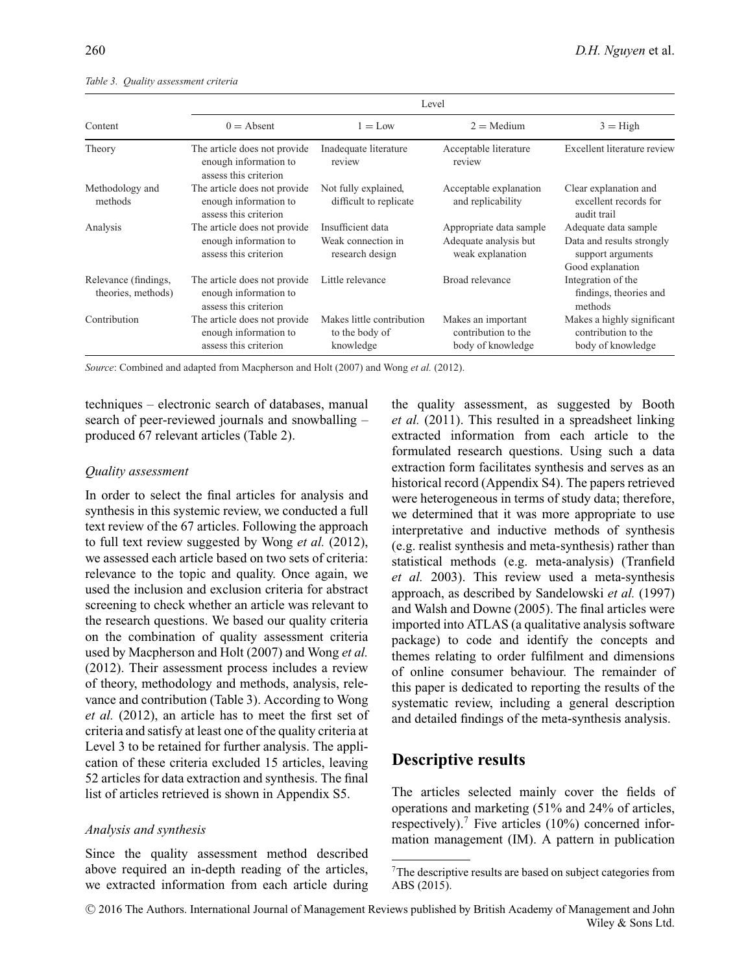|                                            | Level                                                                           |                                                            |                                                                      |                                                                                            |
|--------------------------------------------|---------------------------------------------------------------------------------|------------------------------------------------------------|----------------------------------------------------------------------|--------------------------------------------------------------------------------------------|
| Content                                    | $0 =$ Absent                                                                    | $1 = L$ ow                                                 | $2 = \text{Median}$                                                  | $3 = High$                                                                                 |
| Theory                                     | The article does not provide<br>enough information to<br>assess this criterion  | Inadequate literature<br>review                            | Acceptable literature<br>review                                      | Excellent literature review                                                                |
| Methodology and<br>methods                 | The article does not provide<br>enough information to<br>assess this criterion  | Not fully explained,<br>difficult to replicate             | Acceptable explanation<br>and replicability                          | Clear explanation and<br>excellent records for<br>audit trail                              |
| Analysis                                   | The article does not provide<br>enough information to<br>assess this criterion  | Insufficient data<br>Weak connection in<br>research design | Appropriate data sample<br>Adequate analysis but<br>weak explanation | Adequate data sample<br>Data and results strongly<br>support arguments<br>Good explanation |
| Relevance (findings,<br>theories, methods) | The article does not provide.<br>enough information to<br>assess this criterion | Little relevance                                           | Broad relevance                                                      | Integration of the<br>findings, theories and<br>methods                                    |
| Contribution                               | The article does not provide<br>enough information to<br>assess this criterion  | Makes little contribution<br>to the body of<br>knowledge   | Makes an important<br>contribution to the<br>body of knowledge       | Makes a highly significant<br>contribution to the<br>body of knowledge                     |

*Table 3. Quality assessment criteria*

*Source*: Combined and adapted from Macpherson and Holt (2007) and Wong *et al.* (2012).

techniques – electronic search of databases, manual search of peer-reviewed journals and snowballing – produced 67 relevant articles (Table 2).

#### *Quality assessment*

In order to select the final articles for analysis and synthesis in this systemic review, we conducted a full text review of the 67 articles. Following the approach to full text review suggested by Wong *et al.* (2012), we assessed each article based on two sets of criteria: relevance to the topic and quality. Once again, we used the inclusion and exclusion criteria for abstract screening to check whether an article was relevant to the research questions. We based our quality criteria on the combination of quality assessment criteria used by Macpherson and Holt (2007) and Wong *et al.* (2012). Their assessment process includes a review of theory, methodology and methods, analysis, relevance and contribution (Table 3). According to Wong *et al.* (2012), an article has to meet the first set of criteria and satisfy at least one of the quality criteria at Level 3 to be retained for further analysis. The application of these criteria excluded 15 articles, leaving 52 articles for data extraction and synthesis. The final list of articles retrieved is shown in Appendix S5.

#### *Analysis and synthesis*

Since the quality assessment method described above required an in-depth reading of the articles, we extracted information from each article during the quality assessment, as suggested by Booth *et al.* (2011). This resulted in a spreadsheet linking extracted information from each article to the formulated research questions. Using such a data extraction form facilitates synthesis and serves as an historical record (Appendix S4). The papers retrieved were heterogeneous in terms of study data; therefore, we determined that it was more appropriate to use interpretative and inductive methods of synthesis (e.g. realist synthesis and meta-synthesis) rather than statistical methods (e.g. meta-analysis) (Tranfield *et al.* 2003). This review used a meta-synthesis approach, as described by Sandelowski *et al.* (1997) and Walsh and Downe (2005). The final articles were imported into ATLAS (a qualitative analysis software package) to code and identify the concepts and themes relating to order fulfilment and dimensions of online consumer behaviour. The remainder of this paper is dedicated to reporting the results of the systematic review, including a general description and detailed findings of the meta-synthesis analysis.

## **Descriptive results**

The articles selected mainly cover the fields of operations and marketing (51% and 24% of articles, respectively).<sup>7</sup> Five articles  $(10\%)$  concerned information management (IM). A pattern in publication

<sup>7</sup>The descriptive results are based on subject categories from ABS (2015).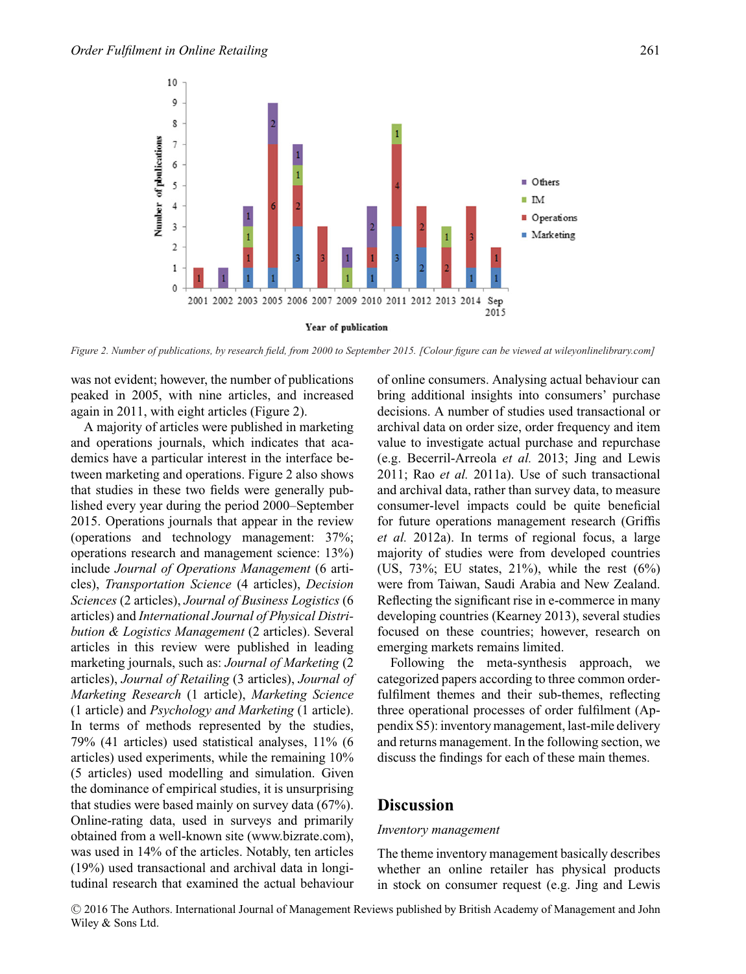

*Figure 2. Number of publications, by research field, from 2000 to September 2015. [Colour figure can be viewed at wileyonlinelibrary.com]*

was not evident; however, the number of publications peaked in 2005, with nine articles, and increased again in 2011, with eight articles (Figure 2).

A majority of articles were published in marketing and operations journals, which indicates that academics have a particular interest in the interface between marketing and operations. Figure 2 also shows that studies in these two fields were generally published every year during the period 2000–September 2015. Operations journals that appear in the review (operations and technology management: 37%; operations research and management science: 13%) include *Journal of Operations Management* (6 articles), *Transportation Science* (4 articles), *Decision Sciences* (2 articles), *Journal of Business Logistics* (6 articles) and *International Journal of Physical Distribution & Logistics Management* (2 articles). Several articles in this review were published in leading marketing journals, such as: *Journal of Marketing* (2 articles), *Journal of Retailing* (3 articles), *Journal of Marketing Research* (1 article), *Marketing Science* (1 article) and *Psychology and Marketing* (1 article). In terms of methods represented by the studies, 79% (41 articles) used statistical analyses, 11% (6 articles) used experiments, while the remaining 10% (5 articles) used modelling and simulation. Given the dominance of empirical studies, it is unsurprising that studies were based mainly on survey data (67%). Online-rating data, used in surveys and primarily obtained from a well-known site [\(www.bizrate.com\)](http://www.bizrate.com), was used in 14% of the articles. Notably, ten articles (19%) used transactional and archival data in longitudinal research that examined the actual behaviour

of online consumers. Analysing actual behaviour can bring additional insights into consumers' purchase decisions. A number of studies used transactional or archival data on order size, order frequency and item value to investigate actual purchase and repurchase (e.g. Becerril-Arreola *et al.* 2013; Jing and Lewis 2011; Rao *et al.* 2011a). Use of such transactional and archival data, rather than survey data, to measure consumer-level impacts could be quite beneficial for future operations management research (Griffis *et al.* 2012a). In terms of regional focus, a large majority of studies were from developed countries (US, 73%; EU states, 21%), while the rest (6%) were from Taiwan, Saudi Arabia and New Zealand. Reflecting the significant rise in e-commerce in many developing countries (Kearney 2013), several studies focused on these countries; however, research on emerging markets remains limited.

Following the meta-synthesis approach, we categorized papers according to three common orderfulfilment themes and their sub-themes, reflecting three operational processes of order fulfilment (Appendix S5): inventory management, last-mile delivery and returns management. In the following section, we discuss the findings for each of these main themes.

#### **Discussion**

#### *Inventory management*

The theme inventory management basically describes whether an online retailer has physical products in stock on consumer request (e.g. Jing and Lewis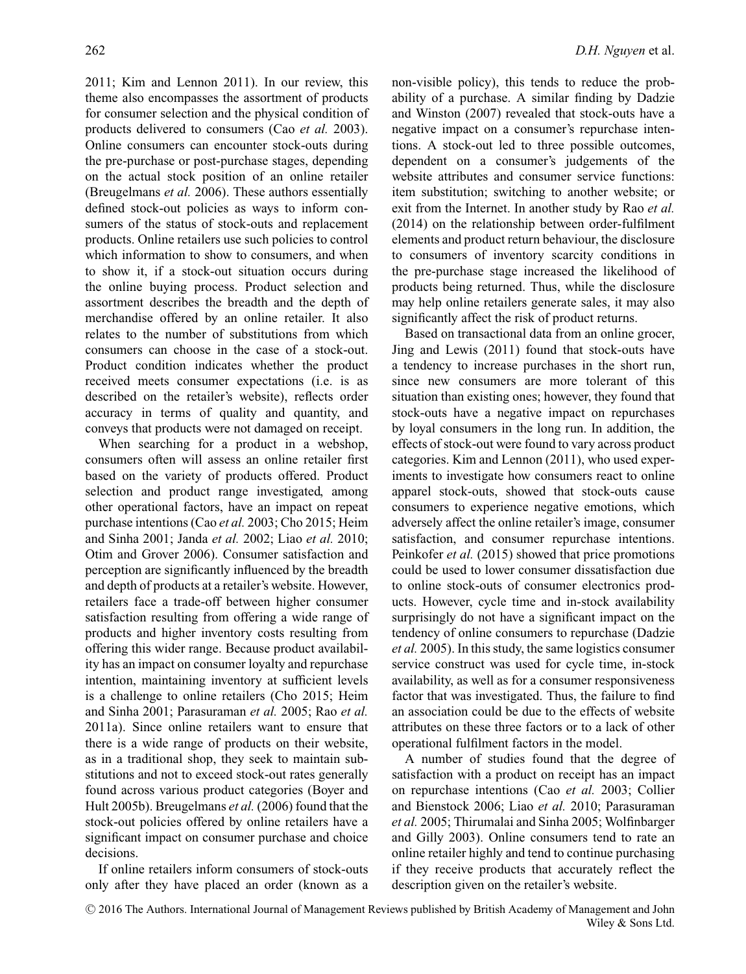2011; Kim and Lennon 2011). In our review, this theme also encompasses the assortment of products for consumer selection and the physical condition of products delivered to consumers (Cao *et al.* 2003). Online consumers can encounter stock-outs during the pre-purchase or post-purchase stages, depending on the actual stock position of an online retailer (Breugelmans *et al.* 2006). These authors essentially defined stock-out policies as ways to inform consumers of the status of stock-outs and replacement products. Online retailers use such policies to control which information to show to consumers, and when to show it, if a stock-out situation occurs during the online buying process. Product selection and assortment describes the breadth and the depth of merchandise offered by an online retailer. It also relates to the number of substitutions from which consumers can choose in the case of a stock-out. Product condition indicates whether the product received meets consumer expectations (i.e. is as described on the retailer's website), reflects order accuracy in terms of quality and quantity, and conveys that products were not damaged on receipt.

When searching for a product in a webshop, consumers often will assess an online retailer first based on the variety of products offered. Product selection and product range investigated, among other operational factors, have an impact on repeat purchase intentions (Cao *et al.* 2003; Cho 2015; Heim and Sinha 2001; Janda *et al.* 2002; Liao *et al.* 2010; Otim and Grover 2006). Consumer satisfaction and perception are significantly influenced by the breadth and depth of products at a retailer's website. However, retailers face a trade-off between higher consumer satisfaction resulting from offering a wide range of products and higher inventory costs resulting from offering this wider range. Because product availability has an impact on consumer loyalty and repurchase intention, maintaining inventory at sufficient levels is a challenge to online retailers (Cho 2015; Heim and Sinha 2001; Parasuraman *et al.* 2005; Rao *et al.* 2011a). Since online retailers want to ensure that there is a wide range of products on their website, as in a traditional shop, they seek to maintain substitutions and not to exceed stock-out rates generally found across various product categories (Boyer and Hult 2005b). Breugelmans *et al.* (2006) found that the stock-out policies offered by online retailers have a significant impact on consumer purchase and choice decisions.

If online retailers inform consumers of stock-outs only after they have placed an order (known as a

non-visible policy), this tends to reduce the probability of a purchase. A similar finding by Dadzie and Winston (2007) revealed that stock-outs have a negative impact on a consumer's repurchase intentions. A stock-out led to three possible outcomes, dependent on a consumer's judgements of the website attributes and consumer service functions: item substitution; switching to another website; or exit from the Internet. In another study by Rao *et al.* (2014) on the relationship between order-fulfilment elements and product return behaviour, the disclosure to consumers of inventory scarcity conditions in the pre-purchase stage increased the likelihood of products being returned. Thus, while the disclosure may help online retailers generate sales, it may also significantly affect the risk of product returns.

Based on transactional data from an online grocer, Jing and Lewis (2011) found that stock-outs have a tendency to increase purchases in the short run, since new consumers are more tolerant of this situation than existing ones; however, they found that stock-outs have a negative impact on repurchases by loyal consumers in the long run. In addition, the effects of stock-out were found to vary across product categories. Kim and Lennon (2011), who used experiments to investigate how consumers react to online apparel stock-outs, showed that stock-outs cause consumers to experience negative emotions, which adversely affect the online retailer's image, consumer satisfaction, and consumer repurchase intentions. Peinkofer *et al.* (2015) showed that price promotions could be used to lower consumer dissatisfaction due to online stock-outs of consumer electronics products. However, cycle time and in-stock availability surprisingly do not have a significant impact on the tendency of online consumers to repurchase (Dadzie *et al.* 2005). In this study, the same logistics consumer service construct was used for cycle time, in-stock availability, as well as for a consumer responsiveness factor that was investigated. Thus, the failure to find an association could be due to the effects of website attributes on these three factors or to a lack of other operational fulfilment factors in the model.

A number of studies found that the degree of satisfaction with a product on receipt has an impact on repurchase intentions (Cao *et al.* 2003; Collier and Bienstock 2006; Liao *et al.* 2010; Parasuraman *et al.* 2005; Thirumalai and Sinha 2005; Wolfinbarger and Gilly 2003). Online consumers tend to rate an online retailer highly and tend to continue purchasing if they receive products that accurately reflect the description given on the retailer's website.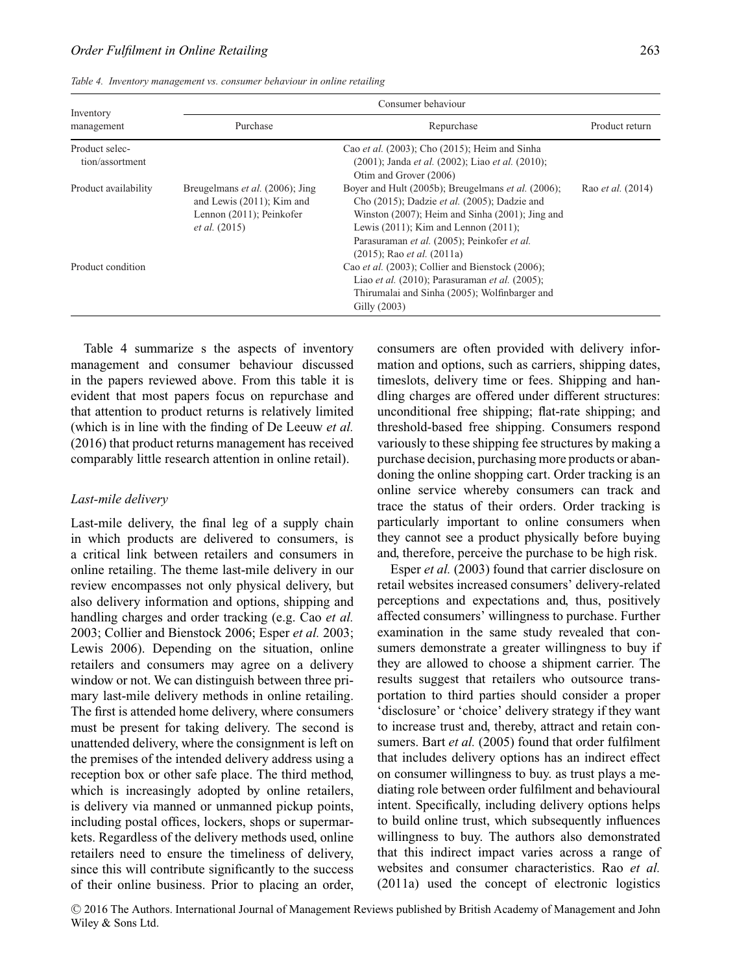| Inventory                         | Consumer behaviour                                                                                               |                                                                                                                                                                                                                                                                                                    |                          |  |
|-----------------------------------|------------------------------------------------------------------------------------------------------------------|----------------------------------------------------------------------------------------------------------------------------------------------------------------------------------------------------------------------------------------------------------------------------------------------------|--------------------------|--|
| management                        | Purchase                                                                                                         | Repurchase                                                                                                                                                                                                                                                                                         | Product return           |  |
| Product selec-<br>tion/assortment |                                                                                                                  | Cao et al. (2003); Cho (2015); Heim and Sinha<br>$(2001)$ ; Janda <i>et al.</i> $(2002)$ ; Liao <i>et al.</i> $(2010)$ ;<br>Otim and Grover (2006)                                                                                                                                                 |                          |  |
| Product availability              | Breugelmans et al. (2006); Jing<br>and Lewis (2011); Kim and<br>Lennon (2011); Peinkofer<br><i>et al.</i> (2015) | Boyer and Hult (2005b); Breugelmans et al. (2006);<br>Cho (2015); Dadzie et al. (2005); Dadzie and<br>Winston $(2007)$ ; Heim and Sinha $(2001)$ ; Jing and<br>Lewis $(2011)$ ; Kim and Lennon $(2011)$ ;<br>Parasuraman et al. (2005); Peinkofer et al.<br>$(2015)$ ; Rao <i>et al.</i> $(2011a)$ | Rao <i>et al.</i> (2014) |  |
| Product condition                 |                                                                                                                  | Cao <i>et al.</i> (2003); Collier and Bienstock (2006);<br>Liao et al. (2010); Parasuraman et al. (2005);<br>Thirumalai and Sinha (2005); Wolfinbarger and<br>Gilly (2003)                                                                                                                         |                          |  |

Table 4 summarize s the aspects of inventory management and consumer behaviour discussed in the papers reviewed above. From this table it is evident that most papers focus on repurchase and that attention to product returns is relatively limited (which is in line with the finding of De Leeuw *et al.* (2016) that product returns management has received comparably little research attention in online retail).

#### *Last-mile delivery*

Last-mile delivery, the final leg of a supply chain in which products are delivered to consumers, is a critical link between retailers and consumers in online retailing. The theme last-mile delivery in our review encompasses not only physical delivery, but also delivery information and options, shipping and handling charges and order tracking (e.g. Cao *et al.* 2003; Collier and Bienstock 2006; Esper *et al.* 2003; Lewis 2006). Depending on the situation, online retailers and consumers may agree on a delivery window or not. We can distinguish between three primary last-mile delivery methods in online retailing. The first is attended home delivery, where consumers must be present for taking delivery. The second is unattended delivery, where the consignment is left on the premises of the intended delivery address using a reception box or other safe place. The third method, which is increasingly adopted by online retailers, is delivery via manned or unmanned pickup points, including postal offices, lockers, shops or supermarkets. Regardless of the delivery methods used, online retailers need to ensure the timeliness of delivery, since this will contribute significantly to the success of their online business. Prior to placing an order, consumers are often provided with delivery information and options, such as carriers, shipping dates, timeslots, delivery time or fees. Shipping and handling charges are offered under different structures: unconditional free shipping; flat-rate shipping; and threshold-based free shipping. Consumers respond variously to these shipping fee structures by making a purchase decision, purchasing more products or abandoning the online shopping cart. Order tracking is an online service whereby consumers can track and trace the status of their orders. Order tracking is particularly important to online consumers when they cannot see a product physically before buying and, therefore, perceive the purchase to be high risk.

Esper *et al.* (2003) found that carrier disclosure on retail websites increased consumers' delivery-related perceptions and expectations and, thus, positively affected consumers' willingness to purchase. Further examination in the same study revealed that consumers demonstrate a greater willingness to buy if they are allowed to choose a shipment carrier. The results suggest that retailers who outsource transportation to third parties should consider a proper 'disclosure' or 'choice' delivery strategy if they want to increase trust and, thereby, attract and retain consumers. Bart *et al.* (2005) found that order fulfilment that includes delivery options has an indirect effect on consumer willingness to buy. as trust plays a mediating role between order fulfilment and behavioural intent. Specifically, including delivery options helps to build online trust, which subsequently influences willingness to buy. The authors also demonstrated that this indirect impact varies across a range of websites and consumer characteristics. Rao *et al.* (2011a) used the concept of electronic logistics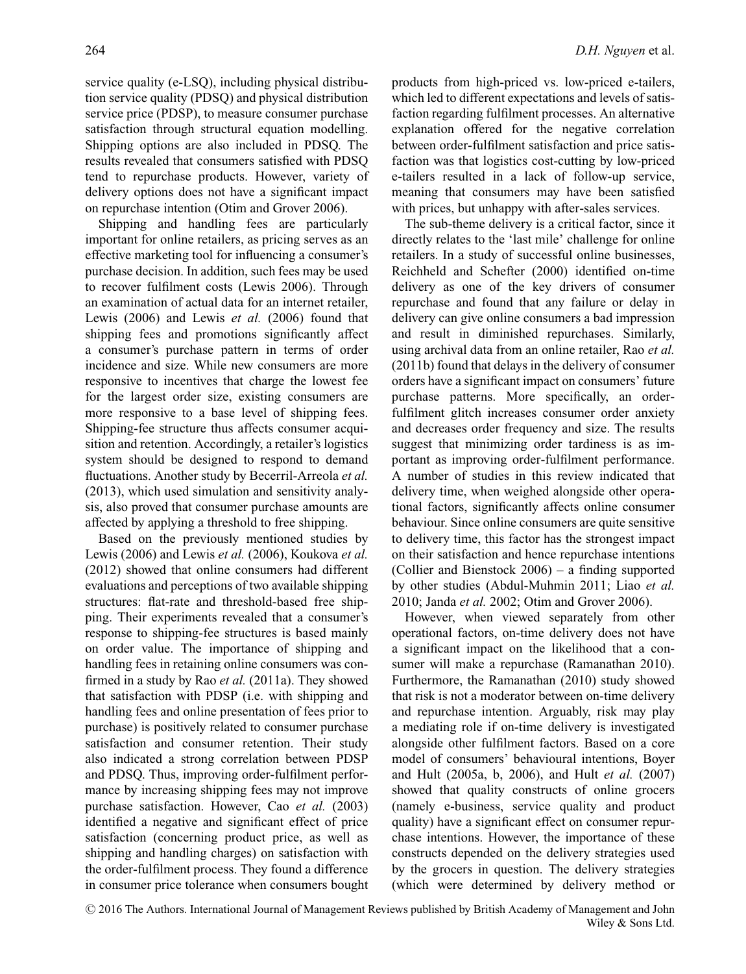service quality (e-LSQ), including physical distribution service quality (PDSQ) and physical distribution service price (PDSP), to measure consumer purchase satisfaction through structural equation modelling. Shipping options are also included in PDSQ. The results revealed that consumers satisfied with PDSQ tend to repurchase products. However, variety of delivery options does not have a significant impact on repurchase intention (Otim and Grover 2006).

Shipping and handling fees are particularly important for online retailers, as pricing serves as an effective marketing tool for influencing a consumer's purchase decision. In addition, such fees may be used to recover fulfilment costs (Lewis 2006). Through an examination of actual data for an internet retailer, Lewis (2006) and Lewis *et al.* (2006) found that shipping fees and promotions significantly affect a consumer's purchase pattern in terms of order incidence and size. While new consumers are more responsive to incentives that charge the lowest fee for the largest order size, existing consumers are more responsive to a base level of shipping fees. Shipping-fee structure thus affects consumer acquisition and retention. Accordingly, a retailer's logistics system should be designed to respond to demand fluctuations. Another study by Becerril-Arreola *et al.* (2013), which used simulation and sensitivity analysis, also proved that consumer purchase amounts are affected by applying a threshold to free shipping.

Based on the previously mentioned studies by Lewis (2006) and Lewis *et al.* (2006), Koukova *et al.* (2012) showed that online consumers had different evaluations and perceptions of two available shipping structures: flat-rate and threshold-based free shipping. Their experiments revealed that a consumer's response to shipping-fee structures is based mainly on order value. The importance of shipping and handling fees in retaining online consumers was confirmed in a study by Rao *et al.* (2011a). They showed that satisfaction with PDSP (i.e. with shipping and handling fees and online presentation of fees prior to purchase) is positively related to consumer purchase satisfaction and consumer retention. Their study also indicated a strong correlation between PDSP and PDSQ. Thus, improving order-fulfilment performance by increasing shipping fees may not improve purchase satisfaction. However, Cao *et al.* (2003) identified a negative and significant effect of price satisfaction (concerning product price, as well as shipping and handling charges) on satisfaction with the order-fulfilment process. They found a difference in consumer price tolerance when consumers bought

products from high-priced vs. low-priced e-tailers, which led to different expectations and levels of satisfaction regarding fulfilment processes. An alternative explanation offered for the negative correlation between order-fulfilment satisfaction and price satisfaction was that logistics cost-cutting by low-priced e-tailers resulted in a lack of follow-up service, meaning that consumers may have been satisfied with prices, but unhappy with after-sales services.

The sub-theme delivery is a critical factor, since it directly relates to the 'last mile' challenge for online retailers. In a study of successful online businesses, Reichheld and Schefter (2000) identified on-time delivery as one of the key drivers of consumer repurchase and found that any failure or delay in delivery can give online consumers a bad impression and result in diminished repurchases. Similarly, using archival data from an online retailer, Rao *et al.* (2011b) found that delays in the delivery of consumer orders have a significant impact on consumers' future purchase patterns. More specifically, an orderfulfilment glitch increases consumer order anxiety and decreases order frequency and size. The results suggest that minimizing order tardiness is as important as improving order-fulfilment performance. A number of studies in this review indicated that delivery time, when weighed alongside other operational factors, significantly affects online consumer behaviour. Since online consumers are quite sensitive to delivery time, this factor has the strongest impact on their satisfaction and hence repurchase intentions (Collier and Bienstock 2006) – a finding supported by other studies (Abdul-Muhmin 2011; Liao *et al.* 2010; Janda *et al.* 2002; Otim and Grover 2006).

However, when viewed separately from other operational factors, on-time delivery does not have a significant impact on the likelihood that a consumer will make a repurchase (Ramanathan 2010). Furthermore, the Ramanathan (2010) study showed that risk is not a moderator between on-time delivery and repurchase intention. Arguably, risk may play a mediating role if on-time delivery is investigated alongside other fulfilment factors. Based on a core model of consumers' behavioural intentions, Boyer and Hult (2005a, b, 2006), and Hult *et al.* (2007) showed that quality constructs of online grocers (namely e-business, service quality and product quality) have a significant effect on consumer repurchase intentions. However, the importance of these constructs depended on the delivery strategies used by the grocers in question. The delivery strategies (which were determined by delivery method or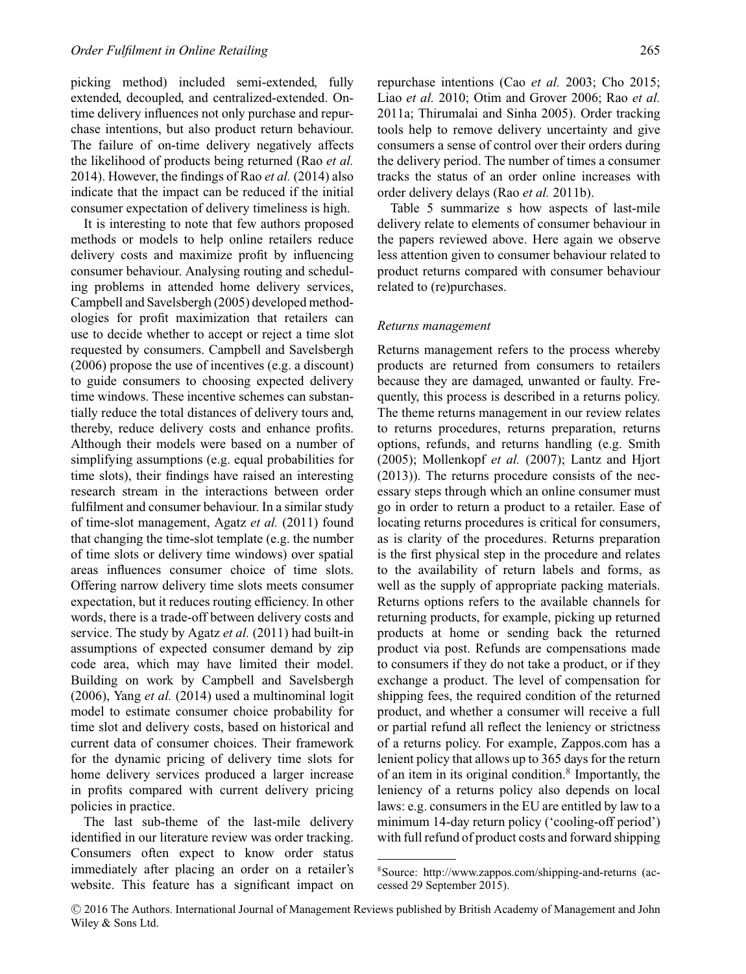picking method) included semi-extended, fully extended, decoupled, and centralized-extended. Ontime delivery influences not only purchase and repurchase intentions, but also product return behaviour. The failure of on-time delivery negatively affects the likelihood of products being returned (Rao *et al.* 2014). However, the findings of Rao *et al.* (2014) also indicate that the impact can be reduced if the initial consumer expectation of delivery timeliness is high.

It is interesting to note that few authors proposed methods or models to help online retailers reduce delivery costs and maximize profit by influencing consumer behaviour. Analysing routing and scheduling problems in attended home delivery services, Campbell and Savelsbergh (2005) developed methodologies for profit maximization that retailers can use to decide whether to accept or reject a time slot requested by consumers. Campbell and Savelsbergh (2006) propose the use of incentives (e.g. a discount) to guide consumers to choosing expected delivery time windows. These incentive schemes can substantially reduce the total distances of delivery tours and, thereby, reduce delivery costs and enhance profits. Although their models were based on a number of simplifying assumptions (e.g. equal probabilities for time slots), their findings have raised an interesting research stream in the interactions between order fulfilment and consumer behaviour. In a similar study of time-slot management, Agatz *et al.* (2011) found that changing the time-slot template (e.g. the number of time slots or delivery time windows) over spatial areas influences consumer choice of time slots. Offering narrow delivery time slots meets consumer expectation, but it reduces routing efficiency. In other words, there is a trade-off between delivery costs and service. The study by Agatz *et al.* (2011) had built-in assumptions of expected consumer demand by zip code area, which may have limited their model. Building on work by Campbell and Savelsbergh (2006), Yang *et al.* (2014) used a multinominal logit model to estimate consumer choice probability for time slot and delivery costs, based on historical and current data of consumer choices. Their framework for the dynamic pricing of delivery time slots for home delivery services produced a larger increase in profits compared with current delivery pricing policies in practice.

The last sub-theme of the last-mile delivery identified in our literature review was order tracking. Consumers often expect to know order status immediately after placing an order on a retailer's website. This feature has a significant impact on

repurchase intentions (Cao *et al.* 2003; Cho 2015; Liao *et al.* 2010; Otim and Grover 2006; Rao *et al.* 2011a; Thirumalai and Sinha 2005). Order tracking tools help to remove delivery uncertainty and give consumers a sense of control over their orders during the delivery period. The number of times a consumer tracks the status of an order online increases with order delivery delays (Rao *et al.* 2011b).

Table 5 summarize s how aspects of last-mile delivery relate to elements of consumer behaviour in the papers reviewed above. Here again we observe less attention given to consumer behaviour related to product returns compared with consumer behaviour related to (re)purchases.

#### *Returns management*

Returns management refers to the process whereby products are returned from consumers to retailers because they are damaged, unwanted or faulty. Frequently, this process is described in a returns policy. The theme returns management in our review relates to returns procedures, returns preparation, returns options, refunds, and returns handling (e.g. Smith (2005); Mollenkopf *et al.* (2007); Lantz and Hjort (2013)). The returns procedure consists of the necessary steps through which an online consumer must go in order to return a product to a retailer. Ease of locating returns procedures is critical for consumers, as is clarity of the procedures. Returns preparation is the first physical step in the procedure and relates to the availability of return labels and forms, as well as the supply of appropriate packing materials. Returns options refers to the available channels for returning products, for example, picking up returned products at home or sending back the returned product via post. Refunds are compensations made to consumers if they do not take a product, or if they exchange a product. The level of compensation for shipping fees, the required condition of the returned product, and whether a consumer will receive a full or partial refund all reflect the leniency or strictness of a returns policy. For example, [Zappos.com](http://Zappos.com) has a lenient policy that allows up to 365 days for the return of an item in its original condition. $8$  Importantly, the leniency of a returns policy also depends on local laws: e.g. consumers in the EU are entitled by law to a minimum 14-day return policy ('cooling-off period') with full refund of product costs and forward shipping

<sup>8</sup>Source:<http://www.zappos.com/shipping-and-returns> (accessed 29 September 2015).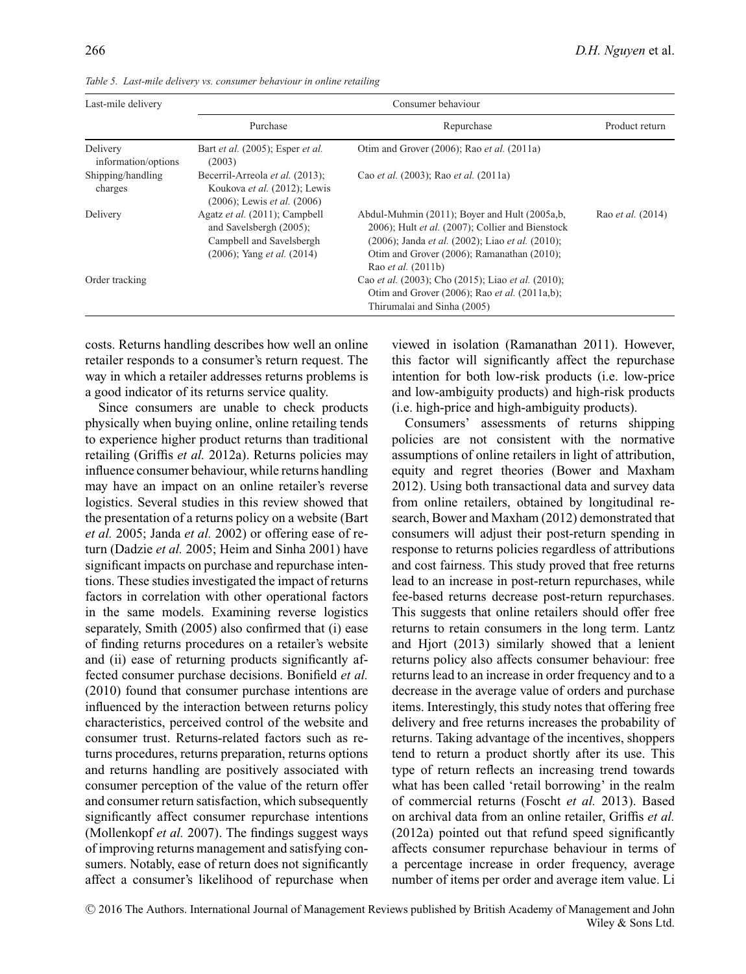| Last-mile delivery              | Consumer behaviour                                                                                                             |                                                                                                                                                                                                                                                         |                          |  |
|---------------------------------|--------------------------------------------------------------------------------------------------------------------------------|---------------------------------------------------------------------------------------------------------------------------------------------------------------------------------------------------------------------------------------------------------|--------------------------|--|
|                                 | Purchase                                                                                                                       | Repurchase                                                                                                                                                                                                                                              | Product return           |  |
| Delivery<br>information/options | Bart et al. (2005); Esper et al.<br>(2003)                                                                                     | Otim and Grover (2006); Rao et al. (2011a)                                                                                                                                                                                                              |                          |  |
| Shipping/handling<br>charges    | Becerril-Arreola et al. (2013);<br>Koukova et al. (2012); Lewis<br>$(2006)$ ; Lewis <i>et al.</i> $(2006)$                     | Cao et al. (2003); Rao et al. (2011a)                                                                                                                                                                                                                   |                          |  |
| Delivery                        | Agatz et al. (2011); Campbell<br>and Savelsbergh (2005);<br>Campbell and Savelsbergh<br>$(2006)$ ; Yang <i>et al.</i> $(2014)$ | Abdul-Muhmin (2011); Boyer and Hult (2005a,b,<br>2006); Hult et al. (2007); Collier and Bienstock<br>$(2006)$ ; Janda <i>et al.</i> $(2002)$ ; Liao <i>et al.</i> $(2010)$ ;<br>Otim and Grover (2006); Ramanathan (2010);<br>Rao <i>et al.</i> (2011b) | Rao <i>et al.</i> (2014) |  |
| Order tracking                  |                                                                                                                                | Cao et al. (2003); Cho (2015); Liao et al. (2010);<br>Otim and Grover (2006); Rao <i>et al.</i> (2011a,b);<br>Thirumalai and Sinha (2005)                                                                                                               |                          |  |

*Table 5. Last-mile delivery vs. consumer behaviour in online retailing*

costs. Returns handling describes how well an online retailer responds to a consumer's return request. The way in which a retailer addresses returns problems is a good indicator of its returns service quality.

Since consumers are unable to check products physically when buying online, online retailing tends to experience higher product returns than traditional retailing (Griffis *et al.* 2012a). Returns policies may influence consumer behaviour, while returns handling may have an impact on an online retailer's reverse logistics. Several studies in this review showed that the presentation of a returns policy on a website (Bart *et al.* 2005; Janda *et al.* 2002) or offering ease of return (Dadzie *et al.* 2005; Heim and Sinha 2001) have significant impacts on purchase and repurchase intentions. These studies investigated the impact of returns factors in correlation with other operational factors in the same models. Examining reverse logistics separately, Smith (2005) also confirmed that (i) ease of finding returns procedures on a retailer's website and (ii) ease of returning products significantly affected consumer purchase decisions. Bonifield *et al.* (2010) found that consumer purchase intentions are influenced by the interaction between returns policy characteristics, perceived control of the website and consumer trust. Returns-related factors such as returns procedures, returns preparation, returns options and returns handling are positively associated with consumer perception of the value of the return offer and consumer return satisfaction, which subsequently significantly affect consumer repurchase intentions (Mollenkopf *et al.* 2007). The findings suggest ways of improving returns management and satisfying consumers. Notably, ease of return does not significantly affect a consumer's likelihood of repurchase when

viewed in isolation (Ramanathan 2011). However, this factor will significantly affect the repurchase intention for both low-risk products (i.e. low-price and low-ambiguity products) and high-risk products (i.e. high-price and high-ambiguity products).

Consumers' assessments of returns shipping policies are not consistent with the normative assumptions of online retailers in light of attribution, equity and regret theories (Bower and Maxham 2012). Using both transactional data and survey data from online retailers, obtained by longitudinal research, Bower and Maxham (2012) demonstrated that consumers will adjust their post-return spending in response to returns policies regardless of attributions and cost fairness. This study proved that free returns lead to an increase in post-return repurchases, while fee-based returns decrease post-return repurchases. This suggests that online retailers should offer free returns to retain consumers in the long term. Lantz and Hjort (2013) similarly showed that a lenient returns policy also affects consumer behaviour: free returns lead to an increase in order frequency and to a decrease in the average value of orders and purchase items. Interestingly, this study notes that offering free delivery and free returns increases the probability of returns. Taking advantage of the incentives, shoppers tend to return a product shortly after its use. This type of return reflects an increasing trend towards what has been called 'retail borrowing' in the realm of commercial returns (Foscht *et al.* 2013). Based on archival data from an online retailer, Griffis *et al.* (2012a) pointed out that refund speed significantly affects consumer repurchase behaviour in terms of a percentage increase in order frequency, average number of items per order and average item value. Li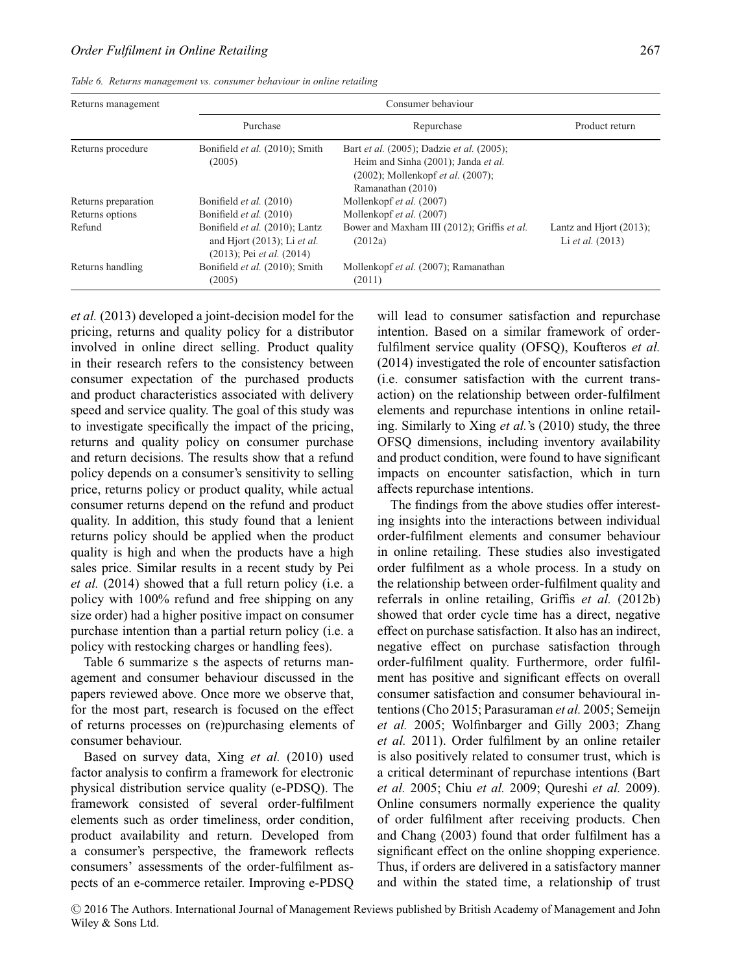| ٠<br>I |  |
|--------|--|

| Table 6. Returns management vs. consumer behaviour in online retailing |  |  |  |
|------------------------------------------------------------------------|--|--|--|
|------------------------------------------------------------------------|--|--|--|

| Returns management  | Consumer behaviour                                                                                     |                                                                                                                                                         |                                                         |  |
|---------------------|--------------------------------------------------------------------------------------------------------|---------------------------------------------------------------------------------------------------------------------------------------------------------|---------------------------------------------------------|--|
|                     | Purchase                                                                                               | Repurchase                                                                                                                                              | Product return                                          |  |
| Returns procedure   | Bonifield et al. (2010); Smith<br>(2005)                                                               | Bart et al. (2005); Dadzie et al. (2005);<br>Heim and Sinha (2001); Janda et al.<br>$(2002)$ ; Mollenkopf <i>et al.</i> $(2007)$ ;<br>Ramanathan (2010) |                                                         |  |
| Returns preparation | Bonifield et al. (2010)                                                                                | Mollenkopf et al. (2007)                                                                                                                                |                                                         |  |
| Returns options     | Bonifield et al. (2010)                                                                                | Mollenkopf et al. (2007)                                                                                                                                |                                                         |  |
| Refund              | Bonifield et al. (2010); Lantz<br>and Hjort (2013); Li et al.<br>$(2013)$ ; Pei <i>et al.</i> $(2014)$ | Bower and Maxham III (2012); Griffis et al.<br>(2012a)                                                                                                  | Lantz and Hiort $(2013)$ ;<br>Li <i>et al.</i> $(2013)$ |  |
| Returns handling    | Bonifield et al. (2010); Smith<br>(2005)                                                               | Mollenkopf et al. (2007); Ramanathan<br>(2011)                                                                                                          |                                                         |  |

*et al.* (2013) developed a joint-decision model for the pricing, returns and quality policy for a distributor involved in online direct selling. Product quality in their research refers to the consistency between consumer expectation of the purchased products and product characteristics associated with delivery speed and service quality. The goal of this study was to investigate specifically the impact of the pricing, returns and quality policy on consumer purchase and return decisions. The results show that a refund policy depends on a consumer's sensitivity to selling price, returns policy or product quality, while actual consumer returns depend on the refund and product quality. In addition, this study found that a lenient returns policy should be applied when the product quality is high and when the products have a high sales price. Similar results in a recent study by Pei *et al.* (2014) showed that a full return policy (i.e. a policy with 100% refund and free shipping on any size order) had a higher positive impact on consumer purchase intention than a partial return policy (i.e. a policy with restocking charges or handling fees).

Table 6 summarize s the aspects of returns management and consumer behaviour discussed in the papers reviewed above. Once more we observe that, for the most part, research is focused on the effect of returns processes on (re)purchasing elements of consumer behaviour.

Based on survey data, Xing *et al.* (2010) used factor analysis to confirm a framework for electronic physical distribution service quality (e-PDSQ). The framework consisted of several order-fulfilment elements such as order timeliness, order condition, product availability and return. Developed from a consumer's perspective, the framework reflects consumers' assessments of the order-fulfilment aspects of an e-commerce retailer. Improving e-PDSQ will lead to consumer satisfaction and repurchase intention. Based on a similar framework of orderfulfilment service quality (OFSQ), Koufteros *et al.* (2014) investigated the role of encounter satisfaction (i.e. consumer satisfaction with the current transaction) on the relationship between order-fulfilment elements and repurchase intentions in online retailing. Similarly to Xing *et al.*'s (2010) study, the three OFSQ dimensions, including inventory availability and product condition, were found to have significant impacts on encounter satisfaction, which in turn affects repurchase intentions.

The findings from the above studies offer interesting insights into the interactions between individual order-fulfilment elements and consumer behaviour in online retailing. These studies also investigated order fulfilment as a whole process. In a study on the relationship between order-fulfilment quality and referrals in online retailing, Griffis *et al.* (2012b) showed that order cycle time has a direct, negative effect on purchase satisfaction. It also has an indirect, negative effect on purchase satisfaction through order-fulfilment quality. Furthermore, order fulfilment has positive and significant effects on overall consumer satisfaction and consumer behavioural intentions (Cho 2015; Parasuraman *et al.* 2005; Semeijn *et al.* 2005; Wolfinbarger and Gilly 2003; Zhang *et al.* 2011). Order fulfilment by an online retailer is also positively related to consumer trust, which is a critical determinant of repurchase intentions (Bart *et al.* 2005; Chiu *et al.* 2009; Qureshi *et al.* 2009). Online consumers normally experience the quality of order fulfilment after receiving products. Chen and Chang (2003) found that order fulfilment has a significant effect on the online shopping experience. Thus, if orders are delivered in a satisfactory manner and within the stated time, a relationship of trust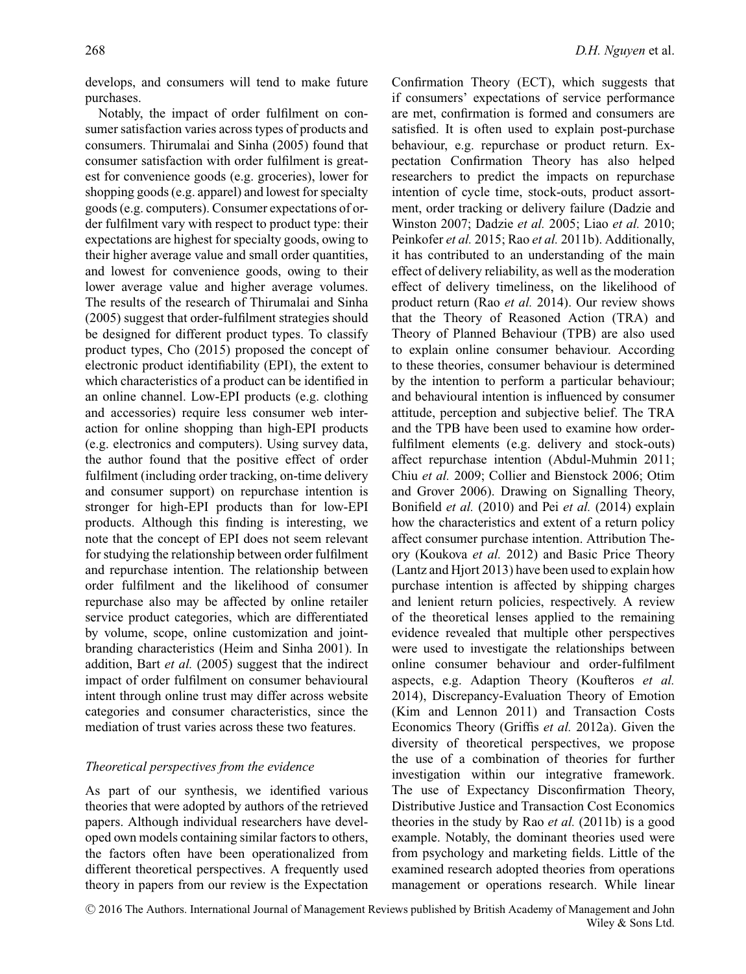develops, and consumers will tend to make future purchases.

Notably, the impact of order fulfilment on consumer satisfaction varies across types of products and consumers. Thirumalai and Sinha (2005) found that consumer satisfaction with order fulfilment is greatest for convenience goods (e.g. groceries), lower for shopping goods (e.g. apparel) and lowest for specialty goods (e.g. computers). Consumer expectations of order fulfilment vary with respect to product type: their expectations are highest for specialty goods, owing to their higher average value and small order quantities, and lowest for convenience goods, owing to their lower average value and higher average volumes. The results of the research of Thirumalai and Sinha (2005) suggest that order-fulfilment strategies should be designed for different product types. To classify product types, Cho (2015) proposed the concept of electronic product identifiability (EPI), the extent to which characteristics of a product can be identified in an online channel. Low-EPI products (e.g. clothing and accessories) require less consumer web interaction for online shopping than high-EPI products (e.g. electronics and computers). Using survey data, the author found that the positive effect of order fulfilment (including order tracking, on-time delivery and consumer support) on repurchase intention is stronger for high-EPI products than for low-EPI products. Although this finding is interesting, we note that the concept of EPI does not seem relevant for studying the relationship between order fulfilment and repurchase intention. The relationship between order fulfilment and the likelihood of consumer repurchase also may be affected by online retailer service product categories, which are differentiated by volume, scope, online customization and jointbranding characteristics (Heim and Sinha 2001). In addition, Bart *et al.* (2005) suggest that the indirect impact of order fulfilment on consumer behavioural intent through online trust may differ across website categories and consumer characteristics, since the mediation of trust varies across these two features.

#### *Theoretical perspectives from the evidence*

As part of our synthesis, we identified various theories that were adopted by authors of the retrieved papers. Although individual researchers have developed own models containing similar factors to others, the factors often have been operationalized from different theoretical perspectives. A frequently used theory in papers from our review is the Expectation

Confirmation Theory (ECT), which suggests that if consumers' expectations of service performance are met, confirmation is formed and consumers are satisfied. It is often used to explain post-purchase behaviour, e.g. repurchase or product return. Expectation Confirmation Theory has also helped researchers to predict the impacts on repurchase intention of cycle time, stock-outs, product assortment, order tracking or delivery failure (Dadzie and Winston 2007; Dadzie *et al.* 2005; Liao *et al.* 2010; Peinkofer *et al.* 2015; Rao *et al.* 2011b). Additionally, it has contributed to an understanding of the main effect of delivery reliability, as well as the moderation effect of delivery timeliness, on the likelihood of product return (Rao *et al.* 2014). Our review shows that the Theory of Reasoned Action (TRA) and Theory of Planned Behaviour (TPB) are also used to explain online consumer behaviour. According to these theories, consumer behaviour is determined by the intention to perform a particular behaviour; and behavioural intention is influenced by consumer attitude, perception and subjective belief. The TRA and the TPB have been used to examine how orderfulfilment elements (e.g. delivery and stock-outs) affect repurchase intention (Abdul-Muhmin 2011; Chiu *et al.* 2009; Collier and Bienstock 2006; Otim and Grover 2006). Drawing on Signalling Theory, Bonifield *et al.* (2010) and Pei *et al.* (2014) explain how the characteristics and extent of a return policy affect consumer purchase intention. Attribution Theory (Koukova *et al.* 2012) and Basic Price Theory (Lantz and Hjort 2013) have been used to explain how purchase intention is affected by shipping charges and lenient return policies, respectively. A review of the theoretical lenses applied to the remaining evidence revealed that multiple other perspectives were used to investigate the relationships between online consumer behaviour and order-fulfilment aspects, e.g. Adaption Theory (Koufteros *et al.* 2014), Discrepancy-Evaluation Theory of Emotion (Kim and Lennon 2011) and Transaction Costs Economics Theory (Griffis *et al.* 2012a). Given the diversity of theoretical perspectives, we propose the use of a combination of theories for further investigation within our integrative framework. The use of Expectancy Disconfirmation Theory, Distributive Justice and Transaction Cost Economics theories in the study by Rao *et al.* (2011b) is a good example. Notably, the dominant theories used were from psychology and marketing fields. Little of the examined research adopted theories from operations management or operations research. While linear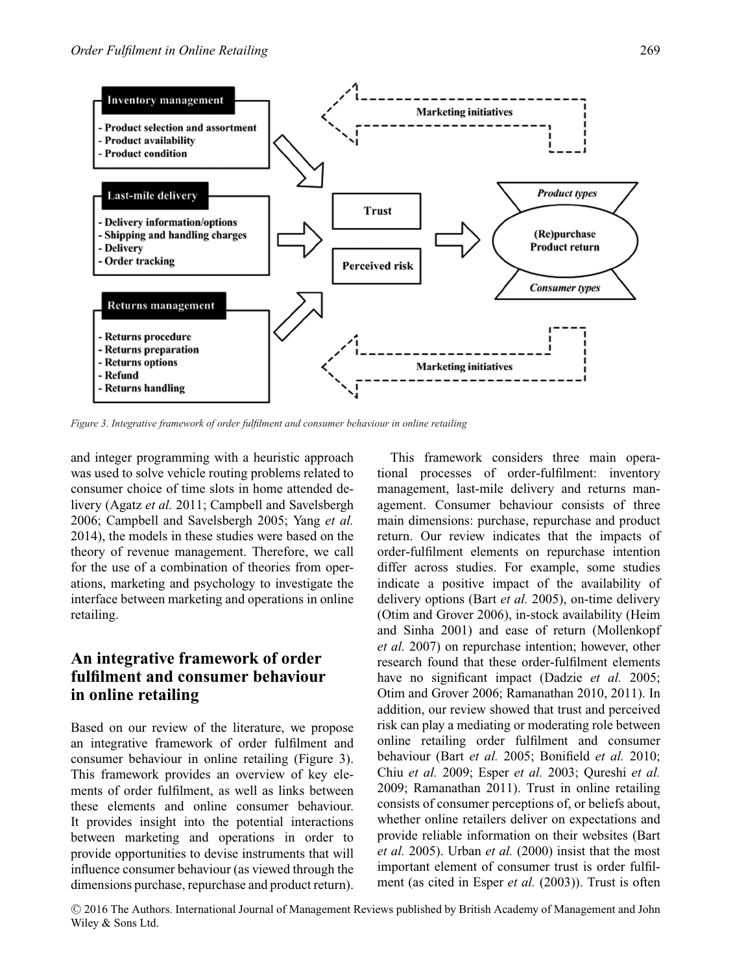

*Figure 3. Integrative framework of order fulfilment and consumer behaviour in online retailing*

and integer programming with a heuristic approach was used to solve vehicle routing problems related to consumer choice of time slots in home attended delivery (Agatz *et al.* 2011; Campbell and Savelsbergh 2006; Campbell and Savelsbergh 2005; Yang *et al.* 2014), the models in these studies were based on the theory of revenue management. Therefore, we call for the use of a combination of theories from operations, marketing and psychology to investigate the interface between marketing and operations in online retailing.

## **An integrative framework of order fulfilment and consumer behaviour in online retailing**

Based on our review of the literature, we propose an integrative framework of order fulfilment and consumer behaviour in online retailing (Figure 3). This framework provides an overview of key elements of order fulfilment, as well as links between these elements and online consumer behaviour. It provides insight into the potential interactions between marketing and operations in order to provide opportunities to devise instruments that will influence consumer behaviour (as viewed through the dimensions purchase, repurchase and product return).

This framework considers three main operational processes of order-fulfilment: inventory management, last-mile delivery and returns management. Consumer behaviour consists of three main dimensions: purchase, repurchase and product return. Our review indicates that the impacts of order-fulfilment elements on repurchase intention differ across studies. For example, some studies indicate a positive impact of the availability of delivery options (Bart *et al.* 2005), on-time delivery (Otim and Grover 2006), in-stock availability (Heim and Sinha 2001) and ease of return (Mollenkopf *et al.* 2007) on repurchase intention; however, other research found that these order-fulfilment elements have no significant impact (Dadzie *et al.* 2005; Otim and Grover 2006; Ramanathan 2010, 2011). In addition, our review showed that trust and perceived risk can play a mediating or moderating role between online retailing order fulfilment and consumer behaviour (Bart *et al.* 2005; Bonifield *et al.* 2010; Chiu *et al.* 2009; Esper *et al.* 2003; Qureshi *et al.* 2009; Ramanathan 2011). Trust in online retailing consists of consumer perceptions of, or beliefs about, whether online retailers deliver on expectations and provide reliable information on their websites (Bart *et al.* 2005). Urban *et al.* (2000) insist that the most important element of consumer trust is order fulfilment (as cited in Esper *et al.* (2003)). Trust is often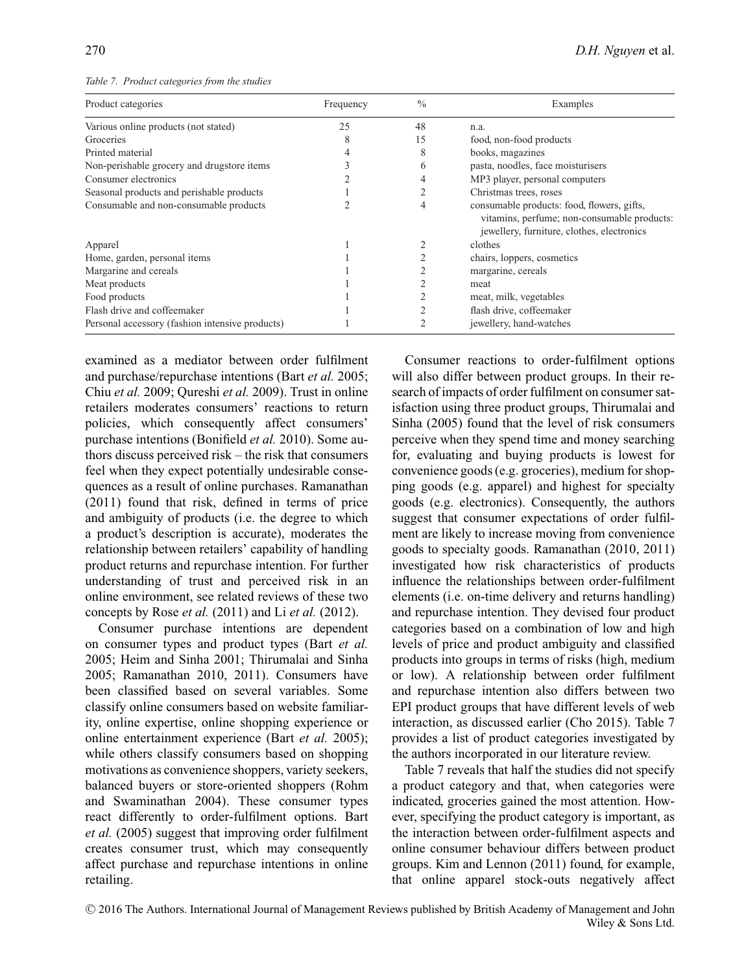| Product categories                              | Frequency | $\frac{0}{0}$  | Examples                                                                                                                                |
|-------------------------------------------------|-----------|----------------|-----------------------------------------------------------------------------------------------------------------------------------------|
| Various online products (not stated)            | 25        | 48             | n.a.                                                                                                                                    |
| Groceries                                       | 8         | 15             | food, non-food products                                                                                                                 |
| Printed material                                |           | 8              | books, magazines                                                                                                                        |
| Non-perishable grocery and drugstore items      |           | 6              | pasta, noodles, face moisturisers                                                                                                       |
| Consumer electronics                            |           | 4              | MP3 player, personal computers                                                                                                          |
| Seasonal products and perishable products       |           |                | Christmas trees, roses                                                                                                                  |
| Consumable and non-consumable products          |           | 4              | consumable products: food, flowers, gifts,<br>vitamins, perfume; non-consumable products:<br>jewellery, furniture, clothes, electronics |
| Apparel                                         |           |                | clothes                                                                                                                                 |
| Home, garden, personal items                    |           |                | chairs, loppers, cosmetics                                                                                                              |
| Margarine and cereals                           |           |                | margarine, cereals                                                                                                                      |
| Meat products                                   |           | 2              | meat                                                                                                                                    |
| Food products                                   |           |                | meat, milk, vegetables                                                                                                                  |
| Flash drive and coffeemaker                     |           | $\mathfrak{D}$ | flash drive, coffeemaker                                                                                                                |
| Personal accessory (fashion intensive products) |           | 2              | jewellery, hand-watches                                                                                                                 |

*Table 7. Product categories from the studies*

examined as a mediator between order fulfilment and purchase/repurchase intentions (Bart *et al.* 2005; Chiu *et al.* 2009; Qureshi *et al.* 2009). Trust in online retailers moderates consumers' reactions to return policies, which consequently affect consumers' purchase intentions (Bonifield *et al.* 2010). Some authors discuss perceived risk – the risk that consumers feel when they expect potentially undesirable consequences as a result of online purchases. Ramanathan (2011) found that risk, defined in terms of price and ambiguity of products (i.e. the degree to which a product's description is accurate), moderates the relationship between retailers' capability of handling product returns and repurchase intention. For further understanding of trust and perceived risk in an online environment, see related reviews of these two concepts by Rose *et al.* (2011) and Li *et al.* (2012).

Consumer purchase intentions are dependent on consumer types and product types (Bart *et al.* 2005; Heim and Sinha 2001; Thirumalai and Sinha 2005; Ramanathan 2010, 2011). Consumers have been classified based on several variables. Some classify online consumers based on website familiarity, online expertise, online shopping experience or online entertainment experience (Bart *et al.* 2005); while others classify consumers based on shopping motivations as convenience shoppers, variety seekers, balanced buyers or store-oriented shoppers (Rohm and Swaminathan 2004). These consumer types react differently to order-fulfilment options. Bart *et al.* (2005) suggest that improving order fulfilment creates consumer trust, which may consequently affect purchase and repurchase intentions in online retailing.

Consumer reactions to order-fulfilment options will also differ between product groups. In their research of impacts of order fulfilment on consumer satisfaction using three product groups, Thirumalai and Sinha (2005) found that the level of risk consumers perceive when they spend time and money searching for, evaluating and buying products is lowest for convenience goods (e.g. groceries), medium for shopping goods (e.g. apparel) and highest for specialty goods (e.g. electronics). Consequently, the authors suggest that consumer expectations of order fulfilment are likely to increase moving from convenience goods to specialty goods. Ramanathan (2010, 2011) investigated how risk characteristics of products influence the relationships between order-fulfilment elements (i.e. on-time delivery and returns handling) and repurchase intention. They devised four product categories based on a combination of low and high levels of price and product ambiguity and classified products into groups in terms of risks (high, medium or low). A relationship between order fulfilment and repurchase intention also differs between two EPI product groups that have different levels of web interaction, as discussed earlier (Cho 2015). Table 7 provides a list of product categories investigated by the authors incorporated in our literature review.

Table 7 reveals that half the studies did not specify a product category and that, when categories were indicated, groceries gained the most attention. However, specifying the product category is important, as the interaction between order-fulfilment aspects and online consumer behaviour differs between product groups. Kim and Lennon (2011) found, for example, that online apparel stock-outs negatively affect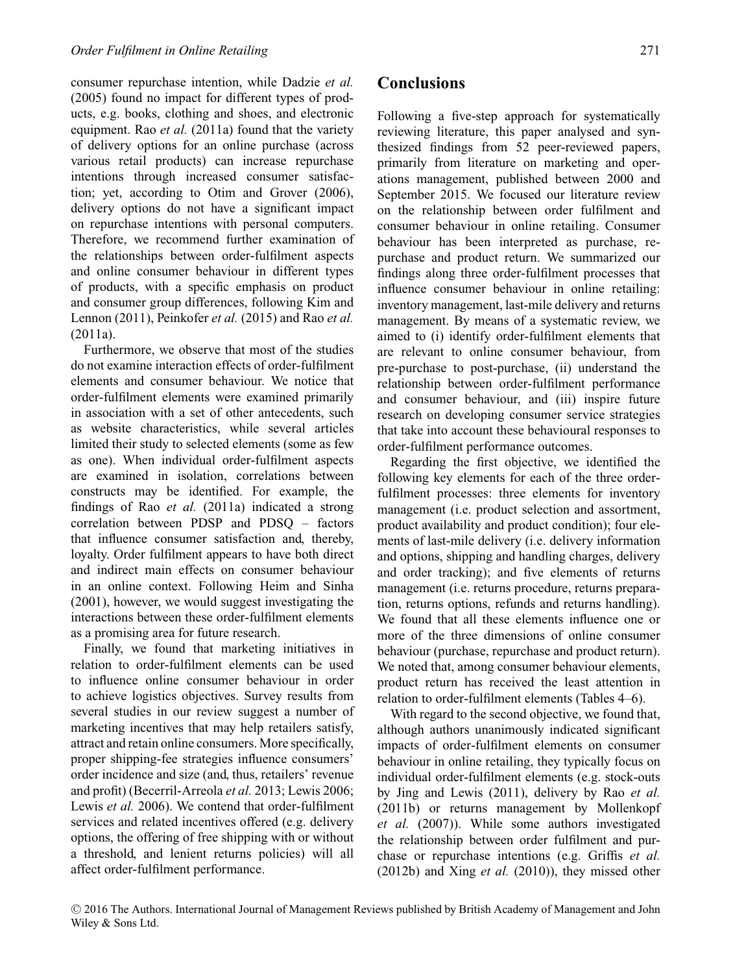consumer repurchase intention, while Dadzie *et al.* (2005) found no impact for different types of products, e.g. books, clothing and shoes, and electronic equipment. Rao *et al.* (2011a) found that the variety of delivery options for an online purchase (across various retail products) can increase repurchase intentions through increased consumer satisfaction; yet, according to Otim and Grover (2006), delivery options do not have a significant impact on repurchase intentions with personal computers. Therefore, we recommend further examination of the relationships between order-fulfilment aspects and online consumer behaviour in different types of products, with a specific emphasis on product and consumer group differences, following Kim and Lennon (2011), Peinkofer *et al.* (2015) and Rao *et al.* (2011a).

Furthermore, we observe that most of the studies do not examine interaction effects of order-fulfilment elements and consumer behaviour. We notice that order-fulfilment elements were examined primarily in association with a set of other antecedents, such as website characteristics, while several articles limited their study to selected elements (some as few as one). When individual order-fulfilment aspects are examined in isolation, correlations between constructs may be identified. For example, the findings of Rao *et al.* (2011a) indicated a strong correlation between PDSP and PDSQ – factors that influence consumer satisfaction and, thereby, loyalty. Order fulfilment appears to have both direct and indirect main effects on consumer behaviour in an online context. Following Heim and Sinha (2001), however, we would suggest investigating the interactions between these order-fulfilment elements as a promising area for future research.

Finally, we found that marketing initiatives in relation to order-fulfilment elements can be used to influence online consumer behaviour in order to achieve logistics objectives. Survey results from several studies in our review suggest a number of marketing incentives that may help retailers satisfy, attract and retain online consumers. More specifically, proper shipping-fee strategies influence consumers' order incidence and size (and, thus, retailers' revenue and profit) (Becerril-Arreola *et al.* 2013; Lewis 2006; Lewis *et al.* 2006). We contend that order-fulfilment services and related incentives offered (e.g. delivery options, the offering of free shipping with or without a threshold, and lenient returns policies) will all affect order-fulfilment performance.

## **Conclusions**

Following a five-step approach for systematically reviewing literature, this paper analysed and synthesized findings from 52 peer-reviewed papers, primarily from literature on marketing and operations management, published between 2000 and September 2015. We focused our literature review on the relationship between order fulfilment and consumer behaviour in online retailing. Consumer behaviour has been interpreted as purchase, repurchase and product return. We summarized our findings along three order-fulfilment processes that influence consumer behaviour in online retailing: inventory management, last-mile delivery and returns management. By means of a systematic review, we aimed to (i) identify order-fulfilment elements that are relevant to online consumer behaviour, from pre-purchase to post-purchase, (ii) understand the relationship between order-fulfilment performance and consumer behaviour, and (iii) inspire future research on developing consumer service strategies that take into account these behavioural responses to order-fulfilment performance outcomes.

Regarding the first objective, we identified the following key elements for each of the three orderfulfilment processes: three elements for inventory management (i.e. product selection and assortment, product availability and product condition); four elements of last-mile delivery (i.e. delivery information and options, shipping and handling charges, delivery and order tracking); and five elements of returns management (i.e. returns procedure, returns preparation, returns options, refunds and returns handling). We found that all these elements influence one or more of the three dimensions of online consumer behaviour (purchase, repurchase and product return). We noted that, among consumer behaviour elements, product return has received the least attention in relation to order-fulfilment elements (Tables 4–6).

With regard to the second objective, we found that, although authors unanimously indicated significant impacts of order-fulfilment elements on consumer behaviour in online retailing, they typically focus on individual order-fulfilment elements (e.g. stock-outs by Jing and Lewis (2011), delivery by Rao *et al.* (2011b) or returns management by Mollenkopf *et al.* (2007)). While some authors investigated the relationship between order fulfilment and purchase or repurchase intentions (e.g. Griffis *et al.* (2012b) and Xing *et al.* (2010)), they missed other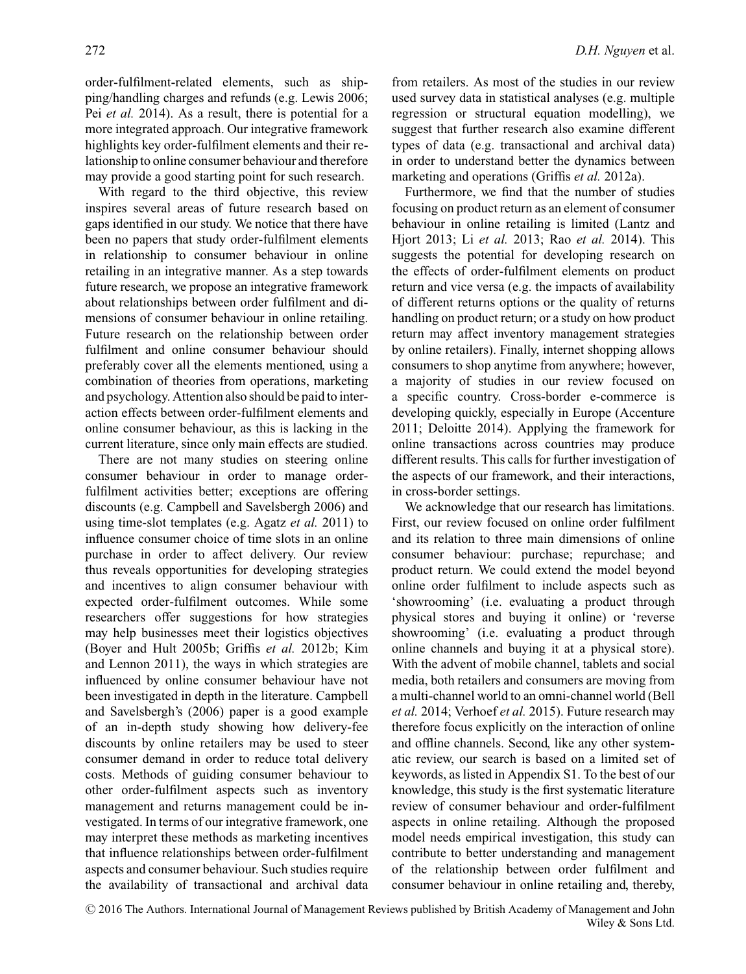order-fulfilment-related elements, such as shipping/handling charges and refunds (e.g. Lewis 2006; Pei *et al.* 2014). As a result, there is potential for a more integrated approach. Our integrative framework highlights key order-fulfilment elements and their relationship to online consumer behaviour and therefore may provide a good starting point for such research.

With regard to the third objective, this review inspires several areas of future research based on gaps identified in our study. We notice that there have been no papers that study order-fulfilment elements in relationship to consumer behaviour in online retailing in an integrative manner. As a step towards future research, we propose an integrative framework about relationships between order fulfilment and dimensions of consumer behaviour in online retailing. Future research on the relationship between order fulfilment and online consumer behaviour should preferably cover all the elements mentioned, using a combination of theories from operations, marketing and psychology. Attention also should be paid to interaction effects between order-fulfilment elements and online consumer behaviour, as this is lacking in the current literature, since only main effects are studied.

There are not many studies on steering online consumer behaviour in order to manage orderfulfilment activities better; exceptions are offering discounts (e.g. Campbell and Savelsbergh 2006) and using time-slot templates (e.g. Agatz *et al.* 2011) to influence consumer choice of time slots in an online purchase in order to affect delivery. Our review thus reveals opportunities for developing strategies and incentives to align consumer behaviour with expected order-fulfilment outcomes. While some researchers offer suggestions for how strategies may help businesses meet their logistics objectives (Boyer and Hult 2005b; Griffis *et al.* 2012b; Kim and Lennon 2011), the ways in which strategies are influenced by online consumer behaviour have not been investigated in depth in the literature. Campbell and Savelsbergh's (2006) paper is a good example of an in-depth study showing how delivery-fee discounts by online retailers may be used to steer consumer demand in order to reduce total delivery costs. Methods of guiding consumer behaviour to other order-fulfilment aspects such as inventory management and returns management could be investigated. In terms of our integrative framework, one may interpret these methods as marketing incentives that influence relationships between order-fulfilment aspects and consumer behaviour. Such studies require the availability of transactional and archival data

from retailers. As most of the studies in our review used survey data in statistical analyses (e.g. multiple regression or structural equation modelling), we suggest that further research also examine different types of data (e.g. transactional and archival data) in order to understand better the dynamics between marketing and operations (Griffis *et al.* 2012a).

Furthermore, we find that the number of studies focusing on product return as an element of consumer behaviour in online retailing is limited (Lantz and Hjort 2013; Li *et al.* 2013; Rao *et al.* 2014). This suggests the potential for developing research on the effects of order-fulfilment elements on product return and vice versa (e.g. the impacts of availability of different returns options or the quality of returns handling on product return; or a study on how product return may affect inventory management strategies by online retailers). Finally, internet shopping allows consumers to shop anytime from anywhere; however, a majority of studies in our review focused on a specific country. Cross-border e-commerce is developing quickly, especially in Europe (Accenture 2011; Deloitte 2014). Applying the framework for online transactions across countries may produce different results. This calls for further investigation of the aspects of our framework, and their interactions, in cross-border settings.

We acknowledge that our research has limitations. First, our review focused on online order fulfilment and its relation to three main dimensions of online consumer behaviour: purchase; repurchase; and product return. We could extend the model beyond online order fulfilment to include aspects such as 'showrooming' (i.e. evaluating a product through physical stores and buying it online) or 'reverse showrooming' (i.e. evaluating a product through online channels and buying it at a physical store). With the advent of mobile channel, tablets and social media, both retailers and consumers are moving from a multi-channel world to an omni-channel world (Bell *et al.* 2014; Verhoef *et al.* 2015). Future research may therefore focus explicitly on the interaction of online and offline channels. Second, like any other systematic review, our search is based on a limited set of keywords, as listed in Appendix S1. To the best of our knowledge, this study is the first systematic literature review of consumer behaviour and order-fulfilment aspects in online retailing. Although the proposed model needs empirical investigation, this study can contribute to better understanding and management of the relationship between order fulfilment and consumer behaviour in online retailing and, thereby,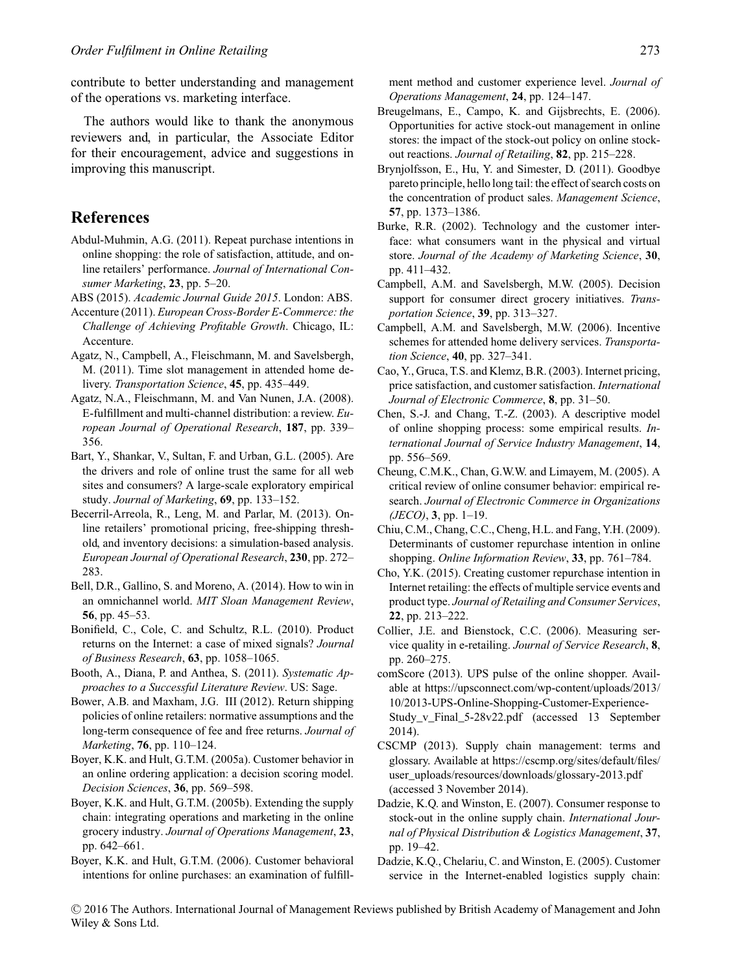contribute to better understanding and management of the operations vs. marketing interface.

The authors would like to thank the anonymous reviewers and, in particular, the Associate Editor for their encouragement, advice and suggestions in improving this manuscript.

## **References**

- Abdul-Muhmin, A.G. (2011). Repeat purchase intentions in online shopping: the role of satisfaction, attitude, and online retailers' performance. *Journal of International Consumer Marketing*, **23**, pp. 5–20.
- ABS (2015). *Academic Journal Guide 2015*. London: ABS.
- Accenture (2011). *European Cross-Border E-Commerce: the Challenge of Achieving Profitable Growth*. Chicago, IL: Accenture.
- Agatz, N., Campbell, A., Fleischmann, M. and Savelsbergh, M. (2011). Time slot management in attended home delivery. *Transportation Science*, **45**, pp. 435–449.
- Agatz, N.A., Fleischmann, M. and Van Nunen, J.A. (2008). E-fulfillment and multi-channel distribution: a review. *European Journal of Operational Research*, **187**, pp. 339– 356.
- Bart, Y., Shankar, V., Sultan, F. and Urban, G.L. (2005). Are the drivers and role of online trust the same for all web sites and consumers? A large-scale exploratory empirical study. *Journal of Marketing*, **69**, pp. 133–152.
- Becerril-Arreola, R., Leng, M. and Parlar, M. (2013). Online retailers' promotional pricing, free-shipping threshold, and inventory decisions: a simulation-based analysis. *European Journal of Operational Research*, **230**, pp. 272– 283.
- Bell, D.R., Gallino, S. and Moreno, A. (2014). How to win in an omnichannel world. *MIT Sloan Management Review*, **56**, pp. 45–53.
- Bonifield, C., Cole, C. and Schultz, R.L. (2010). Product returns on the Internet: a case of mixed signals? *Journal of Business Research*, **63**, pp. 1058–1065.
- Booth, A., Diana, P. and Anthea, S. (2011). *Systematic Approaches to a Successful Literature Review*. US: Sage.
- Bower, A.B. and Maxham, J.G. III (2012). Return shipping policies of online retailers: normative assumptions and the long-term consequence of fee and free returns. *Journal of Marketing*, **76**, pp. 110–124.
- Boyer, K.K. and Hult, G.T.M. (2005a). Customer behavior in an online ordering application: a decision scoring model. *Decision Sciences*, **36**, pp. 569–598.
- Boyer, K.K. and Hult, G.T.M. (2005b). Extending the supply chain: integrating operations and marketing in the online grocery industry. *Journal of Operations Management*, **23**, pp. 642–661.
- Boyer, K.K. and Hult, G.T.M. (2006). Customer behavioral intentions for online purchases: an examination of fulfill-

ment method and customer experience level. *Journal of Operations Management*, **24**, pp. 124–147.

- Breugelmans, E., Campo, K. and Gijsbrechts, E. (2006). Opportunities for active stock-out management in online stores: the impact of the stock-out policy on online stockout reactions. *Journal of Retailing*, **82**, pp. 215–228.
- Brynjolfsson, E., Hu, Y. and Simester, D. (2011). Goodbye pareto principle, hello long tail: the effect of search costs on the concentration of product sales. *Management Science*, **57**, pp. 1373–1386.
- Burke, R.R. (2002). Technology and the customer interface: what consumers want in the physical and virtual store. *Journal of the Academy of Marketing Science*, **30**, pp. 411–432.
- Campbell, A.M. and Savelsbergh, M.W. (2005). Decision support for consumer direct grocery initiatives. *Transportation Science*, **39**, pp. 313–327.
- Campbell, A.M. and Savelsbergh, M.W. (2006). Incentive schemes for attended home delivery services. *Transportation Science*, **40**, pp. 327–341.
- Cao, Y., Gruca, T.S. and Klemz, B.R. (2003). Internet pricing, price satisfaction, and customer satisfaction. *International Journal of Electronic Commerce*, **8**, pp. 31–50.
- Chen, S.-J. and Chang, T.-Z. (2003). A descriptive model of online shopping process: some empirical results. *International Journal of Service Industry Management*, **14**, pp. 556–569.
- Cheung, C.M.K., Chan, G.W.W. and Limayem, M. (2005). A critical review of online consumer behavior: empirical research. *Journal of Electronic Commerce in Organizations (JECO)*, **3**, pp. 1–19.
- Chiu, C.M., Chang, C.C., Cheng, H.L. and Fang, Y.H. (2009). Determinants of customer repurchase intention in online shopping. *Online Information Review*, **33**, pp. 761–784.
- Cho, Y.K. (2015). Creating customer repurchase intention in Internet retailing: the effects of multiple service events and product type. *Journal of Retailing and Consumer Services*, **22**, pp. 213–222.
- Collier, J.E. and Bienstock, C.C. (2006). Measuring service quality in e-retailing. *Journal of Service Research*, **8**, pp. 260–275.
- comScore (2013). UPS pulse of the online shopper. Available at [https://upsconnect.com/wp-content/uploads/2013/](https://upsconnect.com/wp-content/uploads/2013/10/2013-UPS-Online-Shopping-Customer-Experience-Study_v_Final_5-28v22.pdf) [10/2013-UPS-Online-Shopping-Customer-Experience-](https://upsconnect.com/wp-content/uploads/2013/10/2013-UPS-Online-Shopping-Customer-Experience-Study_v_Final_5-28v22.pdf)[Study\\_v\\_Final\\_5-28v22.pdf](https://upsconnect.com/wp-content/uploads/2013/10/2013-UPS-Online-Shopping-Customer-Experience-Study_v_Final_5-28v22.pdf) (accessed 13 September 2014).
- CSCMP (2013). Supply chain management: terms and glossary. Available at [https://cscmp.org/sites/default/files/](https://cscmp.org/sites/default/files/user_uploads/resources/downloads/glossary-2013.pdf) [user\\_uploads/resources/downloads/glossary-2013.pdf](https://cscmp.org/sites/default/files/user_uploads/resources/downloads/glossary-2013.pdf) (accessed 3 November 2014).
- Dadzie, K.Q. and Winston, E. (2007). Consumer response to stock-out in the online supply chain. *International Journal of Physical Distribution & Logistics Management*, **37**, pp. 19–42.
- Dadzie, K.Q., Chelariu, C. and Winston, E. (2005). Customer service in the Internet-enabled logistics supply chain: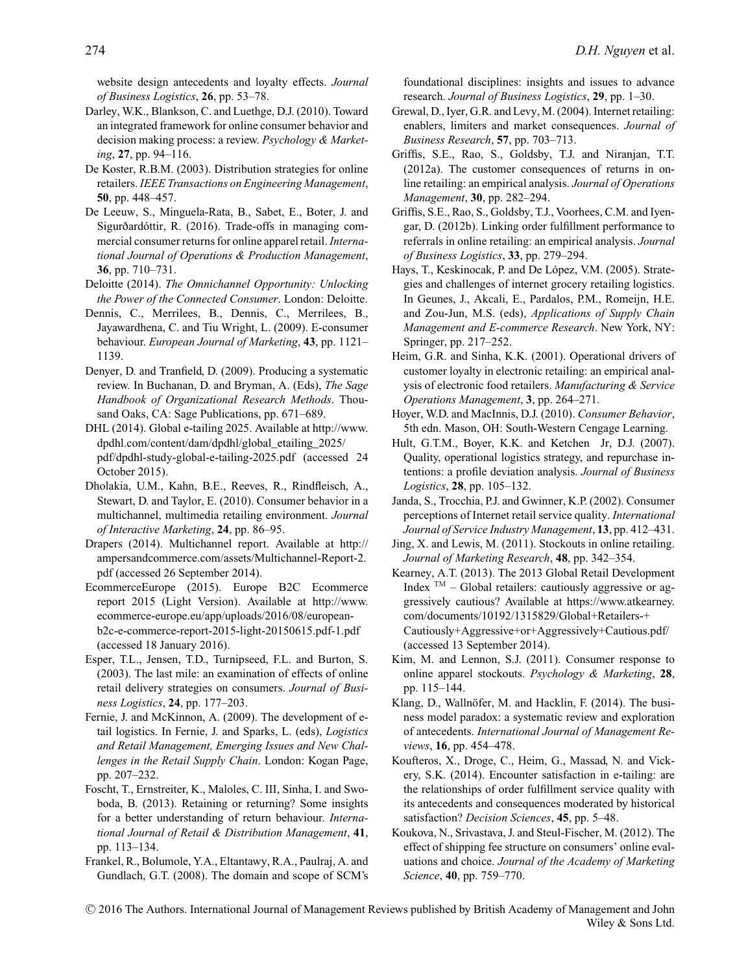website design antecedents and loyalty effects. *Journal of Business Logistics*, **26**, pp. 53–78.

- Darley, W.K., Blankson, C. and Luethge, D.J. (2010). Toward an integrated framework for online consumer behavior and decision making process: a review. *Psychology & Marketing*, **27**, pp. 94–116.
- De Koster, R.B.M. (2003). Distribution strategies for online retailers. *IEEE Transactions on Engineering Management*, **50**, pp. 448–457.
- De Leeuw, S., Minguela-Rata, B., Sabet, E., Boter, J. and Sigurðardóttir, R. (2016). Trade-offs in managing commercial consumer returns for online apparel retail.*International Journal of Operations & Production Management*, **36**, pp. 710–731.
- Deloitte (2014). *The Omnichannel Opportunity: Unlocking the Power of the Connected Consumer*. London: Deloitte.
- Dennis, C., Merrilees, B., Dennis, C., Merrilees, B., Jayawardhena, C. and Tiu Wright, L. (2009). E-consumer behaviour. *European Journal of Marketing*, **43**, pp. 1121– 1139.
- Denyer, D. and Tranfield, D. (2009). Producing a systematic review. In Buchanan, D. and Bryman, A. (Eds), *The Sage Handbook of Organizational Research Methods*. Thousand Oaks, CA: Sage Publications, pp. 671–689.
- DHL (2014). Global e-tailing 2025. Available at [http://www.](http://www.dpdhl.com/content/dam/dpdhl/global_etailing_2025/pdf/dpdhl-study-global-e-tailing-2025.pdf) [dpdhl.com/content/dam/dpdhl/global\\_etailing\\_2025/](http://www.dpdhl.com/content/dam/dpdhl/global_etailing_2025/pdf/dpdhl-study-global-e-tailing-2025.pdf) [pdf/dpdhl-study-global-e-tailing-2025.pdf](http://www.dpdhl.com/content/dam/dpdhl/global_etailing_2025/pdf/dpdhl-study-global-e-tailing-2025.pdf) (accessed 24 October 2015).
- Dholakia, U.M., Kahn, B.E., Reeves, R., Rindfleisch, A., Stewart, D. and Taylor, E. (2010). Consumer behavior in a multichannel, multimedia retailing environment. *Journal of Interactive Marketing*, **24**, pp. 86–95.
- Drapers (2014). Multichannel report. Available at [http://](http://ampersandcommerce.com/assets/Multichannel-Report-2.pdf) [ampersandcommerce.com/assets/Multichannel-Report-2.](http://ampersandcommerce.com/assets/Multichannel-Report-2.pdf) [pdf](http://ampersandcommerce.com/assets/Multichannel-Report-2.pdf) (accessed 26 September 2014).
- EcommerceEurope (2015). Europe B2C Ecommerce report 2015 (Light Version). Available at [http://www.](http://www.ecommerce-europe.eu/app/uploads/2016/08/european-b2c-e-commerce-report-2015-light-20150615.pdf-1.pdf) [ecommerce-europe.eu/app/uploads/2016/08/european](http://www.ecommerce-europe.eu/app/uploads/2016/08/european-b2c-e-commerce-report-2015-light-20150615.pdf-1.pdf)[b2c-e-commerce-report-2015-light-20150615.pdf-1.pdf](http://www.ecommerce-europe.eu/app/uploads/2016/08/european-b2c-e-commerce-report-2015-light-20150615.pdf-1.pdf) (accessed 18 January 2016).
- Esper, T.L., Jensen, T.D., Turnipseed, F.L. and Burton, S. (2003). The last mile: an examination of effects of online retail delivery strategies on consumers. *Journal of Business Logistics*, **24**, pp. 177–203.
- Fernie, J. and McKinnon, A. (2009). The development of etail logistics. In Fernie, J. and Sparks, L. (eds), *Logistics and Retail Management, Emerging Issues and New Challenges in the Retail Supply Chain*. London: Kogan Page, pp. 207–232.
- Foscht, T., Ernstreiter, K., Maloles, C. III, Sinha, I. and Swoboda, B. (2013). Retaining or returning? Some insights for a better understanding of return behaviour. *International Journal of Retail & Distribution Management*, **41**, pp. 113–134.
- Frankel, R., Bolumole, Y.A., Eltantawy, R.A., Paulraj, A. and Gundlach, G.T. (2008). The domain and scope of SCM's

foundational disciplines: insights and issues to advance research. *Journal of Business Logistics*, **29**, pp. 1–30.

- Grewal, D., Iyer, G.R. and Levy, M. (2004). Internet retailing: enablers, limiters and market consequences. *Journal of Business Research*, **57**, pp. 703–713.
- Griffis, S.E., Rao, S., Goldsby, T.J. and Niranjan, T.T. (2012a). The customer consequences of returns in online retailing: an empirical analysis. *Journal of Operations Management*, **30**, pp. 282–294.
- Griffis, S.E., Rao, S., Goldsby, T.J., Voorhees, C.M. and Iyengar, D. (2012b). Linking order fulfillment performance to referrals in online retailing: an empirical analysis. *Journal of Business Logistics*, **33**, pp. 279–294.
- Hays, T., Keskinocak, P. and De López, V.M. (2005). Strategies and challenges of internet grocery retailing logistics. In Geunes, J., Akcali, E., Pardalos, P.M., Romeijn, H.E. and Zou-Jun, M.S. (eds), *Applications of Supply Chain Management and E-commerce Research*. New York, NY: Springer, pp. 217–252.
- Heim, G.R. and Sinha, K.K. (2001). Operational drivers of customer loyalty in electronic retailing: an empirical analysis of electronic food retailers. *Manufacturing & Service Operations Management*, **3**, pp. 264–271.
- Hoyer, W.D. and MacInnis, D.J. (2010). *Consumer Behavior*, 5th edn. Mason, OH: South-Western Cengage Learning.
- Hult, G.T.M., Boyer, K.K. and Ketchen Jr, D.J. (2007). Quality, operational logistics strategy, and repurchase intentions: a profile deviation analysis. *Journal of Business Logistics*, **28**, pp. 105–132.
- Janda, S., Trocchia, P.J. and Gwinner, K.P. (2002). Consumer perceptions of Internet retail service quality. *International Journal of Service Industry Management*, **13**, pp. 412–431.
- Jing, X. and Lewis, M. (2011). Stockouts in online retailing. *Journal of Marketing Research*, **48**, pp. 342–354.
- Kearney, A.T. (2013). The 2013 Global Retail Development Index  $TM - Global$  retailers: cautiously aggressive or aggressively cautious? Available at [https://www.atkearney.](https://www.atkearney.com/documents/10192/1315829/Global+Retailers-+Cautiously+Aggressive+or+Aggressively+Cautious.pdf/) [com/documents/10192/1315829/Global+Retailers-+](https://www.atkearney.com/documents/10192/1315829/Global+Retailers-+Cautiously+Aggressive+or+Aggressively+Cautious.pdf/) [Cautiously+Aggressive+or+Aggressively+Cautious.pdf/](https://www.atkearney.com/documents/10192/1315829/Global+Retailers-+Cautiously+Aggressive+or+Aggressively+Cautious.pdf/) (accessed 13 September 2014).
- Kim, M. and Lennon, S.J. (2011). Consumer response to online apparel stockouts. *Psychology & Marketing*, **28**, pp. 115–144.
- Klang, D., Wallnöfer, M. and Hacklin, F. (2014). The business model paradox: a systematic review and exploration of antecedents. *International Journal of Management Reviews*, **16**, pp. 454–478.
- Koufteros, X., Droge, C., Heim, G., Massad, N. and Vickery, S.K. (2014). Encounter satisfaction in e-tailing: are the relationships of order fulfillment service quality with its antecedents and consequences moderated by historical satisfaction? *Decision Sciences*, **45**, pp. 5–48.
- Koukova, N., Srivastava, J. and Steul-Fischer, M. (2012). The effect of shipping fee structure on consumers' online evaluations and choice. *Journal of the Academy of Marketing Science*, **40**, pp. 759–770.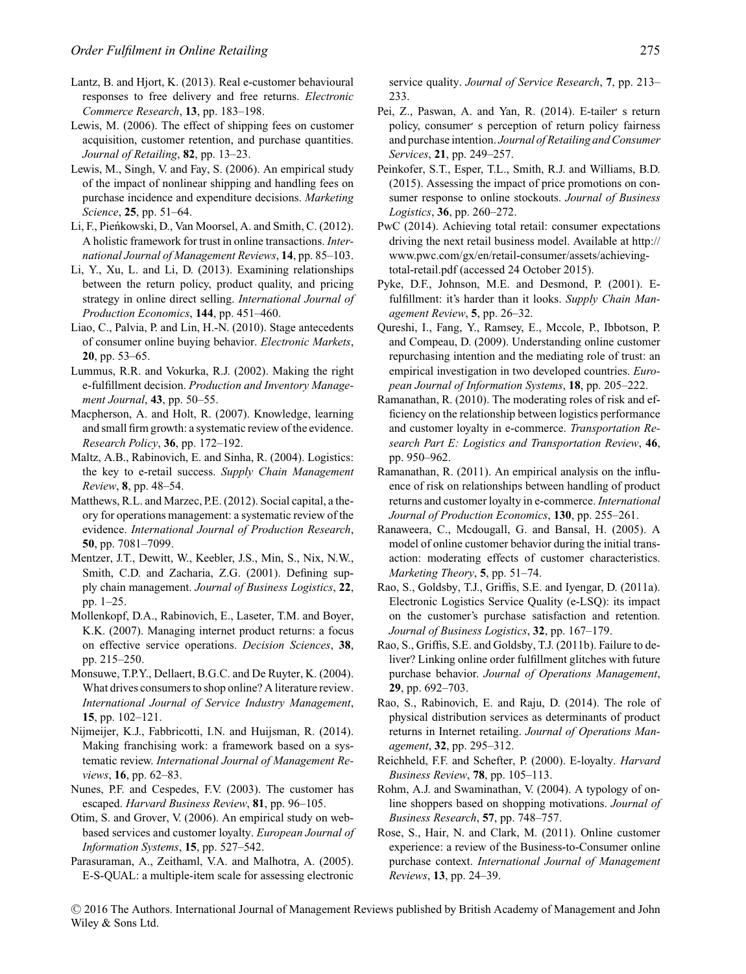- Lantz, B. and Hjort, K. (2013). Real e-customer behavioural responses to free delivery and free returns. *Electronic Commerce Research*, **13**, pp. 183–198.
- Lewis, M. (2006). The effect of shipping fees on customer acquisition, customer retention, and purchase quantities. *Journal of Retailing*, **82**, pp. 13–23.
- Lewis, M., Singh, V. and Fay, S. (2006). An empirical study of the impact of nonlinear shipping and handling fees on purchase incidence and expenditure decisions. *Marketing Science*, **25**, pp. 51–64.
- Li, F., Pienkowski, D., Van Moorsel, A. and Smith, C. (2012). ´ A holistic framework for trust in online transactions. *International Journal of Management Reviews*, **14**, pp. 85–103.
- Li, Y., Xu, L. and Li, D. (2013). Examining relationships between the return policy, product quality, and pricing strategy in online direct selling. *International Journal of Production Economics*, **144**, pp. 451–460.
- Liao, C., Palvia, P. and Lin, H.-N. (2010). Stage antecedents of consumer online buying behavior. *Electronic Markets*, **20**, pp. 53–65.
- Lummus, R.R. and Vokurka, R.J. (2002). Making the right e-fulfillment decision. *Production and Inventory Management Journal*, **43**, pp. 50–55.
- Macpherson, A. and Holt, R. (2007). Knowledge, learning and small firm growth: a systematic review of the evidence. *Research Policy*, **36**, pp. 172–192.
- Maltz, A.B., Rabinovich, E. and Sinha, R. (2004). Logistics: the key to e-retail success. *Supply Chain Management Review*, **8**, pp. 48–54.
- Matthews, R.L. and Marzec, P.E. (2012). Social capital, a theory for operations management: a systematic review of the evidence. *International Journal of Production Research*, **50**, pp. 7081–7099.
- Mentzer, J.T., Dewitt, W., Keebler, J.S., Min, S., Nix, N.W., Smith, C.D. and Zacharia, Z.G. (2001). Defining supply chain management. *Journal of Business Logistics*, **22**, pp. 1–25.
- Mollenkopf, D.A., Rabinovich, E., Laseter, T.M. and Boyer, K.K. (2007). Managing internet product returns: a focus on effective service operations. *Decision Sciences*, **38**, pp. 215–250.
- Monsuwe, T.P.Y., Dellaert, B.G.C. and De Ruyter, K. (2004). What drives consumers to shop online? A literature review. *International Journal of Service Industry Management*, **15**, pp. 102–121.
- Nijmeijer, K.J., Fabbricotti, I.N. and Huijsman, R. (2014). Making franchising work: a framework based on a systematic review. *International Journal of Management Reviews*, **16**, pp. 62–83.
- Nunes, P.F. and Cespedes, F.V. (2003). The customer has escaped. *Harvard Business Review*, **81**, pp. 96–105.
- Otim, S. and Grover, V. (2006). An empirical study on webbased services and customer loyalty. *European Journal of Information Systems*, **15**, pp. 527–542.

Parasuraman, A., Zeithaml, V.A. and Malhotra, A. (2005). E-S-QUAL: a multiple-item scale for assessing electronic service quality. *Journal of Service Research*, **7**, pp. 213– 233.

- Pei, Z., Paswan, A. and Yan, R. (2014). E-tailer׳ s return policy, consumer׳ s perception of return policy fairness and purchase intention. *Journal of Retailing and Consumer Services*, **21**, pp. 249–257.
- Peinkofer, S.T., Esper, T.L., Smith, R.J. and Williams, B.D. (2015). Assessing the impact of price promotions on consumer response to online stockouts. *Journal of Business Logistics*, **36**, pp. 260–272.
- PwC (2014). Achieving total retail: consumer expectations driving the next retail business model. Available at [http://](http://www.pwc.com/gx/en/retail-consumer/assets/achieving-total-retail.pdf) [www.pwc.com/gx/en/retail-consumer/assets/achieving](http://www.pwc.com/gx/en/retail-consumer/assets/achieving-total-retail.pdf)[total-retail.pdf](http://www.pwc.com/gx/en/retail-consumer/assets/achieving-total-retail.pdf) (accessed 24 October 2015).
- Pyke, D.F., Johnson, M.E. and Desmond, P. (2001). Efulfillment: it's harder than it looks. *Supply Chain Management Review*, **5**, pp. 26–32.
- Qureshi, I., Fang, Y., Ramsey, E., Mccole, P., Ibbotson, P. and Compeau, D. (2009). Understanding online customer repurchasing intention and the mediating role of trust: an empirical investigation in two developed countries. *European Journal of Information Systems*, **18**, pp. 205–222.
- Ramanathan, R. (2010). The moderating roles of risk and efficiency on the relationship between logistics performance and customer loyalty in e-commerce. *Transportation Research Part E: Logistics and Transportation Review*, **46**, pp. 950–962.
- Ramanathan, R. (2011). An empirical analysis on the influence of risk on relationships between handling of product returns and customer loyalty in e-commerce. *International Journal of Production Economics*, **130**, pp. 255–261.
- Ranaweera, C., Mcdougall, G. and Bansal, H. (2005). A model of online customer behavior during the initial transaction: moderating effects of customer characteristics. *Marketing Theory*, **5**, pp. 51–74.
- Rao, S., Goldsby, T.J., Griffis, S.E. and Iyengar, D. (2011a). Electronic Logistics Service Quality (e-LSQ): its impact on the customer's purchase satisfaction and retention. *Journal of Business Logistics*, **32**, pp. 167–179.
- Rao, S., Griffis, S.E. and Goldsby, T.J. (2011b). Failure to deliver? Linking online order fulfillment glitches with future purchase behavior. *Journal of Operations Management*, **29**, pp. 692–703.
- Rao, S., Rabinovich, E. and Raju, D. (2014). The role of physical distribution services as determinants of product returns in Internet retailing. *Journal of Operations Management*, **32**, pp. 295–312.
- Reichheld, F.F. and Schefter, P. (2000). E-loyalty. *Harvard Business Review*, **78**, pp. 105–113.
- Rohm, A.J. and Swaminathan, V. (2004). A typology of online shoppers based on shopping motivations. *Journal of Business Research*, **57**, pp. 748–757.
- Rose, S., Hair, N. and Clark, M. (2011). Online customer experience: a review of the Business-to-Consumer online purchase context. *International Journal of Management Reviews*, **13**, pp. 24–39.